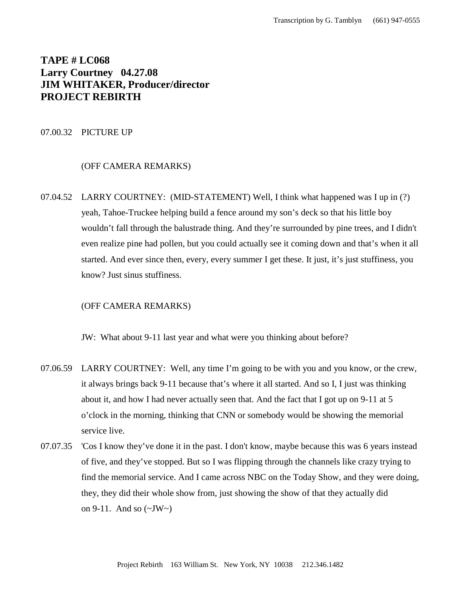# **TAPE # LC068 Larry Courtney 04.27.08 JIM WHITAKER, Producer/director PROJECT REBIRTH**

# 07.00.32 PICTURE UP

# (OFF CAMERA REMARKS)

07.04.52 LARRY COURTNEY: (MID-STATEMENT) Well, I think what happened was I up in (?) yeah, Tahoe-Truckee helping build a fence around my son's deck so that his little boy wouldn't fall through the balustrade thing. And they're surrounded by pine trees, and I didn't even realize pine had pollen, but you could actually see it coming down and that's when it all started. And ever since then, every, every summer I get these. It just, it's just stuffiness, you know? Just sinus stuffiness.

# (OFF CAMERA REMARKS)

JW: What about 9-11 last year and what were you thinking about before?

- 07.06.59 LARRY COURTNEY: Well, any time I'm going to be with you and you know, or the crew, it always brings back 9-11 because that's where it all started. And so I, I just was thinking about it, and how I had never actually seen that. And the fact that I got up on 9-11 at 5 o'clock in the morning, thinking that CNN or somebody would be showing the memorial service live.
- 07.07.35 'Cos I know they've done it in the past. I don't know, maybe because this was 6 years instead of five, and they've stopped. But so I was flipping through the channels like crazy trying to find the memorial service. And I came across NBC on the Today Show, and they were doing, they, they did their whole show from, just showing the show of that they actually did on 9-11. And so  $(\sim JW \sim)$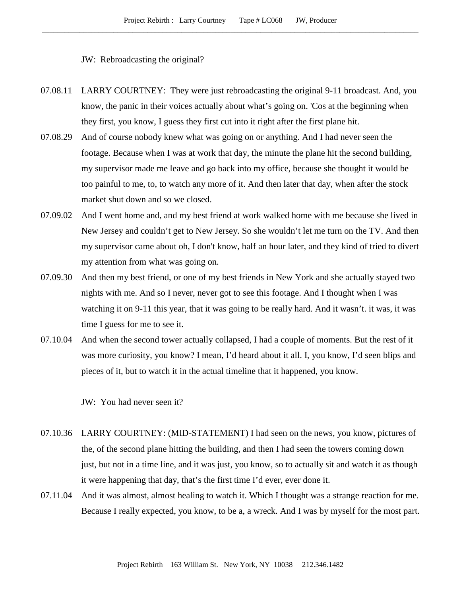JW: Rebroadcasting the original?

- 07.08.11 LARRY COURTNEY: They were just rebroadcasting the original 9-11 broadcast. And, you know, the panic in their voices actually about what's going on. 'Cos at the beginning when they first, you know, I guess they first cut into it right after the first plane hit.
- 07.08.29 And of course nobody knew what was going on or anything. And I had never seen the footage. Because when I was at work that day, the minute the plane hit the second building, my supervisor made me leave and go back into my office, because she thought it would be too painful to me, to, to watch any more of it. And then later that day, when after the stock market shut down and so we closed.
- 07.09.02 And I went home and, and my best friend at work walked home with me because she lived in New Jersey and couldn't get to New Jersey. So she wouldn't let me turn on the TV. And then my supervisor came about oh, I don't know, half an hour later, and they kind of tried to divert my attention from what was going on.
- 07.09.30 And then my best friend, or one of my best friends in New York and she actually stayed two nights with me. And so I never, never got to see this footage. And I thought when I was watching it on 9-11 this year, that it was going to be really hard. And it wasn't. it was, it was time I guess for me to see it.
- 07.10.04 And when the second tower actually collapsed, I had a couple of moments. But the rest of it was more curiosity, you know? I mean, I'd heard about it all. I, you know, I'd seen blips and pieces of it, but to watch it in the actual timeline that it happened, you know.

JW: You had never seen it?

- 07.10.36 LARRY COURTNEY: (MID-STATEMENT) I had seen on the news, you know, pictures of the, of the second plane hitting the building, and then I had seen the towers coming down just, but not in a time line, and it was just, you know, so to actually sit and watch it as though it were happening that day, that's the first time I'd ever, ever done it.
- 07.11.04 And it was almost, almost healing to watch it. Which I thought was a strange reaction for me. Because I really expected, you know, to be a, a wreck. And I was by myself for the most part.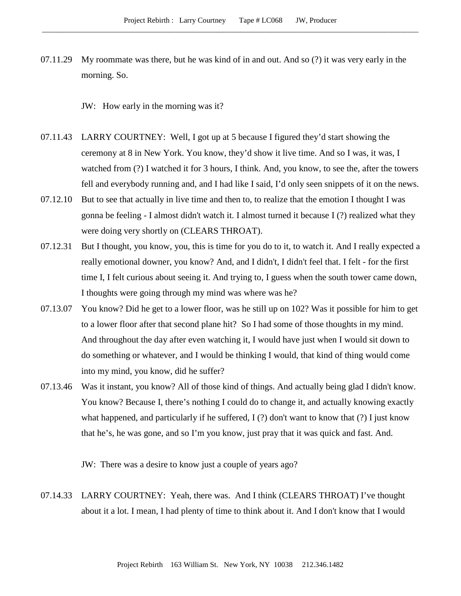07.11.29 My roommate was there, but he was kind of in and out. And so (?) it was very early in the morning. So.

JW: How early in the morning was it?

- 07.11.43 LARRY COURTNEY: Well, I got up at 5 because I figured they'd start showing the ceremony at 8 in New York. You know, they'd show it live time. And so I was, it was, I watched from (?) I watched it for 3 hours, I think. And, you know, to see the, after the towers fell and everybody running and, and I had like I said, I'd only seen snippets of it on the news.
- 07.12.10 But to see that actually in live time and then to, to realize that the emotion I thought I was gonna be feeling - I almost didn't watch it. I almost turned it because I (?) realized what they were doing very shortly on (CLEARS THROAT).
- 07.12.31 But I thought, you know, you, this is time for you do to it, to watch it. And I really expected a really emotional downer, you know? And, and I didn't, I didn't feel that. I felt - for the first time I, I felt curious about seeing it. And trying to, I guess when the south tower came down, I thoughts were going through my mind was where was he?
- 07.13.07 You know? Did he get to a lower floor, was he still up on 102? Was it possible for him to get to a lower floor after that second plane hit? So I had some of those thoughts in my mind. And throughout the day after even watching it, I would have just when I would sit down to do something or whatever, and I would be thinking I would, that kind of thing would come into my mind, you know, did he suffer?
- 07.13.46 Was it instant, you know? All of those kind of things. And actually being glad I didn't know. You know? Because I, there's nothing I could do to change it, and actually knowing exactly what happened, and particularly if he suffered, I (?) don't want to know that (?) I just know that he's, he was gone, and so I'm you know, just pray that it was quick and fast. And.

JW: There was a desire to know just a couple of years ago?

07.14.33 LARRY COURTNEY: Yeah, there was. And I think (CLEARS THROAT) I've thought about it a lot. I mean, I had plenty of time to think about it. And I don't know that I would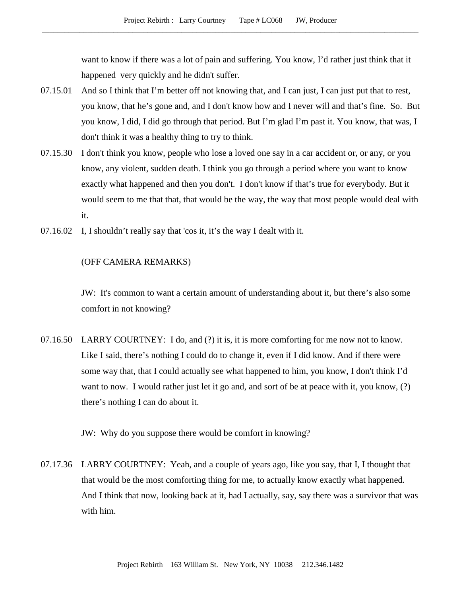want to know if there was a lot of pain and suffering. You know, I'd rather just think that it happened very quickly and he didn't suffer.

- 07.15.01 And so I think that I'm better off not knowing that, and I can just, I can just put that to rest, you know, that he's gone and, and I don't know how and I never will and that's fine. So. But you know, I did, I did go through that period. But I'm glad I'm past it. You know, that was, I don't think it was a healthy thing to try to think.
- 07.15.30 I don't think you know, people who lose a loved one say in a car accident or, or any, or you know, any violent, sudden death. I think you go through a period where you want to know exactly what happened and then you don't. I don't know if that's true for everybody. But it would seem to me that that, that would be the way, the way that most people would deal with it.
- 07.16.02 I, I shouldn't really say that 'cos it, it's the way I dealt with it.

# (OFF CAMERA REMARKS)

JW: It's common to want a certain amount of understanding about it, but there's also some comfort in not knowing?

07.16.50 LARRY COURTNEY: I do, and (?) it is, it is more comforting for me now not to know. Like I said, there's nothing I could do to change it, even if I did know. And if there were some way that, that I could actually see what happened to him, you know, I don't think I'd want to now. I would rather just let it go and, and sort of be at peace with it, you know, (?) there's nothing I can do about it.

JW: Why do you suppose there would be comfort in knowing?

07.17.36 LARRY COURTNEY: Yeah, and a couple of years ago, like you say, that I, I thought that that would be the most comforting thing for me, to actually know exactly what happened. And I think that now, looking back at it, had I actually, say, say there was a survivor that was with him.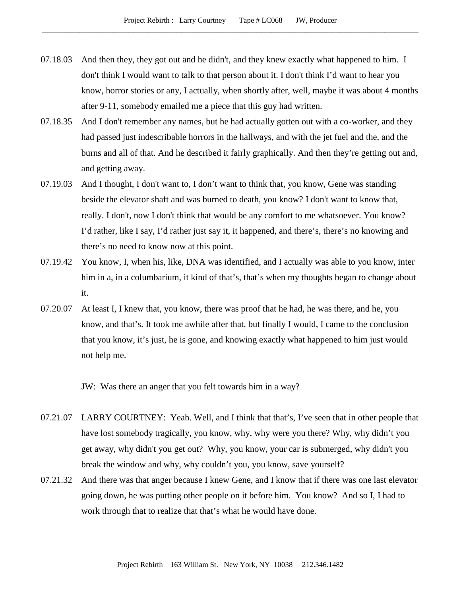- 07.18.03 And then they, they got out and he didn't, and they knew exactly what happened to him. I don't think I would want to talk to that person about it. I don't think I'd want to hear you know, horror stories or any, I actually, when shortly after, well, maybe it was about 4 months after 9-11, somebody emailed me a piece that this guy had written.
- 07.18.35 And I don't remember any names, but he had actually gotten out with a co-worker, and they had passed just indescribable horrors in the hallways, and with the jet fuel and the, and the burns and all of that. And he described it fairly graphically. And then they're getting out and, and getting away.
- 07.19.03 And I thought, I don't want to, I don't want to think that, you know, Gene was standing beside the elevator shaft and was burned to death, you know? I don't want to know that, really. I don't, now I don't think that would be any comfort to me whatsoever. You know? I'd rather, like I say, I'd rather just say it, it happened, and there's, there's no knowing and there's no need to know now at this point.
- 07.19.42 You know, I, when his, like, DNA was identified, and I actually was able to you know, inter him in a, in a columbarium, it kind of that's, that's when my thoughts began to change about it.
- 07.20.07 At least I, I knew that, you know, there was proof that he had, he was there, and he, you know, and that's. It took me awhile after that, but finally I would, I came to the conclusion that you know, it's just, he is gone, and knowing exactly what happened to him just would not help me.

JW: Was there an anger that you felt towards him in a way?

- 07.21.07 LARRY COURTNEY: Yeah. Well, and I think that that's, I've seen that in other people that have lost somebody tragically, you know, why, why were you there? Why, why didn't you get away, why didn't you get out? Why, you know, your car is submerged, why didn't you break the window and why, why couldn't you, you know, save yourself?
- 07.21.32 And there was that anger because I knew Gene, and I know that if there was one last elevator going down, he was putting other people on it before him. You know? And so I, I had to work through that to realize that that's what he would have done.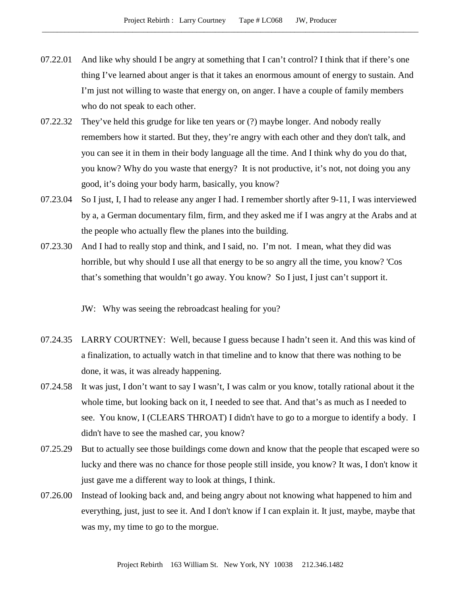- 07.22.01 And like why should I be angry at something that I can't control? I think that if there's one thing I've learned about anger is that it takes an enormous amount of energy to sustain. And I'm just not willing to waste that energy on, on anger. I have a couple of family members who do not speak to each other.
- 07.22.32 They've held this grudge for like ten years or (?) maybe longer. And nobody really remembers how it started. But they, they're angry with each other and they don't talk, and you can see it in them in their body language all the time. And I think why do you do that, you know? Why do you waste that energy? It is not productive, it's not, not doing you any good, it's doing your body harm, basically, you know?
- 07.23.04 So I just, I, I had to release any anger I had. I remember shortly after 9-11, I was interviewed by a, a German documentary film, firm, and they asked me if I was angry at the Arabs and at the people who actually flew the planes into the building.
- 07.23.30 And I had to really stop and think, and I said, no. I'm not. I mean, what they did was horrible, but why should I use all that energy to be so angry all the time, you know? 'Cos that's something that wouldn't go away. You know? So I just, I just can't support it.
	- JW: Why was seeing the rebroadcast healing for you?
- 07.24.35 LARRY COURTNEY: Well, because I guess because I hadn't seen it. And this was kind of a finalization, to actually watch in that timeline and to know that there was nothing to be done, it was, it was already happening.
- 07.24.58 It was just, I don't want to say I wasn't, I was calm or you know, totally rational about it the whole time, but looking back on it, I needed to see that. And that's as much as I needed to see. You know, I (CLEARS THROAT) I didn't have to go to a morgue to identify a body. I didn't have to see the mashed car, you know?
- 07.25.29 But to actually see those buildings come down and know that the people that escaped were so lucky and there was no chance for those people still inside, you know? It was, I don't know it just gave me a different way to look at things, I think.
- 07.26.00 Instead of looking back and, and being angry about not knowing what happened to him and everything, just, just to see it. And I don't know if I can explain it. It just, maybe, maybe that was my, my time to go to the morgue.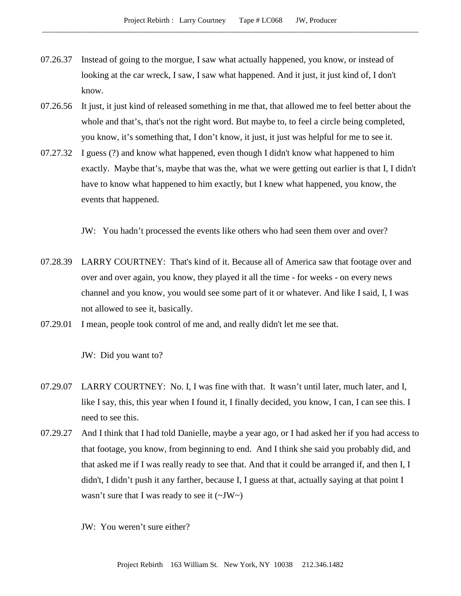- 07.26.37 Instead of going to the morgue, I saw what actually happened, you know, or instead of looking at the car wreck, I saw, I saw what happened. And it just, it just kind of, I don't know.
- 07.26.56 It just, it just kind of released something in me that, that allowed me to feel better about the whole and that's, that's not the right word. But maybe to, to feel a circle being completed, you know, it's something that, I don't know, it just, it just was helpful for me to see it.
- 07.27.32 I guess (?) and know what happened, even though I didn't know what happened to him exactly. Maybe that's, maybe that was the, what we were getting out earlier is that I, I didn't have to know what happened to him exactly, but I knew what happened, you know, the events that happened.

JW: You hadn't processed the events like others who had seen them over and over?

- 07.28.39 LARRY COURTNEY: That's kind of it. Because all of America saw that footage over and over and over again, you know, they played it all the time - for weeks - on every news channel and you know, you would see some part of it or whatever. And like I said, I, I was not allowed to see it, basically.
- 07.29.01 I mean, people took control of me and, and really didn't let me see that.

JW: Did you want to?

- 07.29.07 LARRY COURTNEY: No. I, I was fine with that. It wasn't until later, much later, and I, like I say, this, this year when I found it, I finally decided, you know, I can, I can see this. I need to see this.
- 07.29.27 And I think that I had told Danielle, maybe a year ago, or I had asked her if you had access to that footage, you know, from beginning to end. And I think she said you probably did, and that asked me if I was really ready to see that. And that it could be arranged if, and then I, I didn't, I didn't push it any farther, because I, I guess at that, actually saying at that point I wasn't sure that I was ready to see it  $(\sim JW)$

JW: You weren't sure either?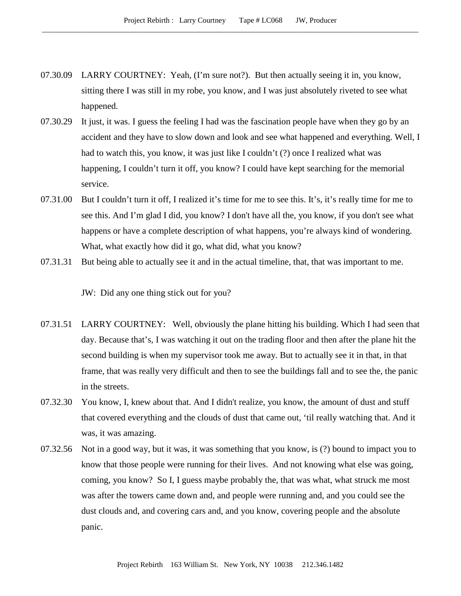- 07.30.09 LARRY COURTNEY: Yeah, (I'm sure not?). But then actually seeing it in, you know, sitting there I was still in my robe, you know, and I was just absolutely riveted to see what happened.
- 07.30.29 It just, it was. I guess the feeling I had was the fascination people have when they go by an accident and they have to slow down and look and see what happened and everything. Well, I had to watch this, you know, it was just like I couldn't (?) once I realized what was happening, I couldn't turn it off, you know? I could have kept searching for the memorial service.
- 07.31.00 But I couldn't turn it off, I realized it's time for me to see this. It's, it's really time for me to see this. And I'm glad I did, you know? I don't have all the, you know, if you don't see what happens or have a complete description of what happens, you're always kind of wondering. What, what exactly how did it go, what did, what you know?
- 07.31.31 But being able to actually see it and in the actual timeline, that, that was important to me.

JW: Did any one thing stick out for you?

- 07.31.51 LARRY COURTNEY: Well, obviously the plane hitting his building. Which I had seen that day. Because that's, I was watching it out on the trading floor and then after the plane hit the second building is when my supervisor took me away. But to actually see it in that, in that frame, that was really very difficult and then to see the buildings fall and to see the, the panic in the streets.
- 07.32.30 You know, I, knew about that. And I didn't realize, you know, the amount of dust and stuff that covered everything and the clouds of dust that came out, 'til really watching that. And it was, it was amazing.
- 07.32.56 Not in a good way, but it was, it was something that you know, is (?) bound to impact you to know that those people were running for their lives. And not knowing what else was going, coming, you know? So I, I guess maybe probably the, that was what, what struck me most was after the towers came down and, and people were running and, and you could see the dust clouds and, and covering cars and, and you know, covering people and the absolute panic.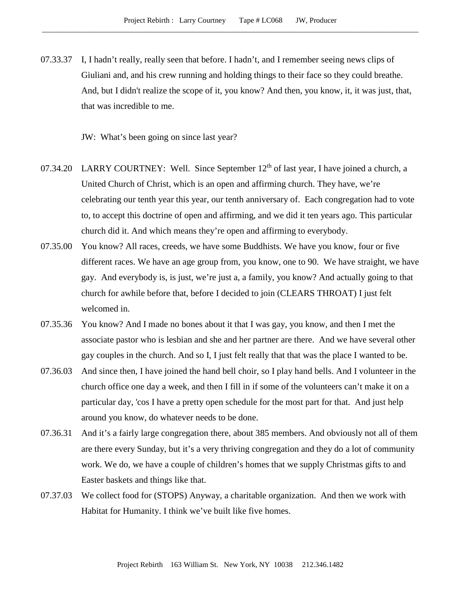07.33.37 I, I hadn't really, really seen that before. I hadn't, and I remember seeing news clips of Giuliani and, and his crew running and holding things to their face so they could breathe. And, but I didn't realize the scope of it, you know? And then, you know, it, it was just, that, that was incredible to me.

JW: What's been going on since last year?

- 07.34.20 LARRY COURTNEY: Well. Since September  $12<sup>th</sup>$  of last year, I have joined a church, a United Church of Christ, which is an open and affirming church. They have, we're celebrating our tenth year this year, our tenth anniversary of. Each congregation had to vote to, to accept this doctrine of open and affirming, and we did it ten years ago. This particular church did it. And which means they're open and affirming to everybody.
- 07.35.00 You know? All races, creeds, we have some Buddhists. We have you know, four or five different races. We have an age group from, you know, one to 90. We have straight, we have gay. And everybody is, is just, we're just a, a family, you know? And actually going to that church for awhile before that, before I decided to join (CLEARS THROAT) I just felt welcomed in.
- 07.35.36 You know? And I made no bones about it that I was gay, you know, and then I met the associate pastor who is lesbian and she and her partner are there. And we have several other gay couples in the church. And so I, I just felt really that that was the place I wanted to be.
- 07.36.03 And since then, I have joined the hand bell choir, so I play hand bells. And I volunteer in the church office one day a week, and then I fill in if some of the volunteers can't make it on a particular day, 'cos I have a pretty open schedule for the most part for that. And just help around you know, do whatever needs to be done.
- 07.36.31 And it's a fairly large congregation there, about 385 members. And obviously not all of them are there every Sunday, but it's a very thriving congregation and they do a lot of community work. We do, we have a couple of children's homes that we supply Christmas gifts to and Easter baskets and things like that.
- 07.37.03 We collect food for (STOPS) Anyway, a charitable organization. And then we work with Habitat for Humanity. I think we've built like five homes.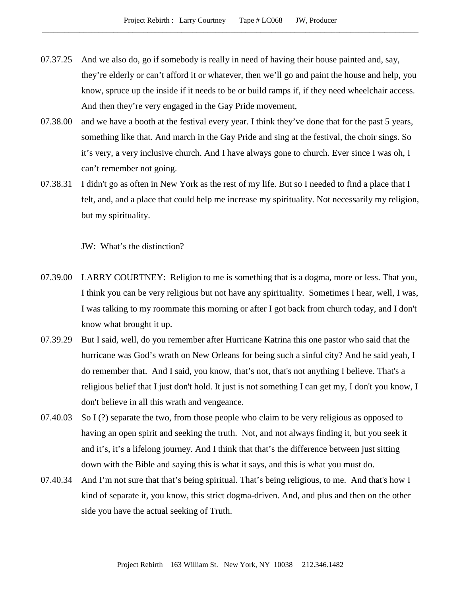- 07.37.25 And we also do, go if somebody is really in need of having their house painted and, say, they're elderly or can't afford it or whatever, then we'll go and paint the house and help, you know, spruce up the inside if it needs to be or build ramps if, if they need wheelchair access. And then they're very engaged in the Gay Pride movement,
- 07.38.00 and we have a booth at the festival every year. I think they've done that for the past 5 years, something like that. And march in the Gay Pride and sing at the festival, the choir sings. So it's very, a very inclusive church. And I have always gone to church. Ever since I was oh, I can't remember not going.
- 07.38.31 I didn't go as often in New York as the rest of my life. But so I needed to find a place that I felt, and, and a place that could help me increase my spirituality. Not necessarily my religion, but my spirituality.

JW: What's the distinction?

- 07.39.00 LARRY COURTNEY: Religion to me is something that is a dogma, more or less. That you, I think you can be very religious but not have any spirituality. Sometimes I hear, well, I was, I was talking to my roommate this morning or after I got back from church today, and I don't know what brought it up.
- 07.39.29 But I said, well, do you remember after Hurricane Katrina this one pastor who said that the hurricane was God's wrath on New Orleans for being such a sinful city? And he said yeah, I do remember that. And I said, you know, that's not, that's not anything I believe. That's a religious belief that I just don't hold. It just is not something I can get my, I don't you know, I don't believe in all this wrath and vengeance.
- 07.40.03 So I (?) separate the two, from those people who claim to be very religious as opposed to having an open spirit and seeking the truth. Not, and not always finding it, but you seek it and it's, it's a lifelong journey. And I think that that's the difference between just sitting down with the Bible and saying this is what it says, and this is what you must do.
- 07.40.34 And I'm not sure that that's being spiritual. That's being religious, to me. And that's how I kind of separate it, you know, this strict dogma-driven. And, and plus and then on the other side you have the actual seeking of Truth.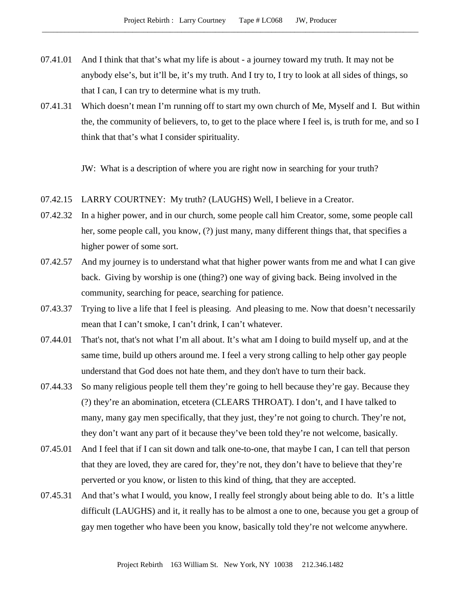- 07.41.01 And I think that that's what my life is about a journey toward my truth. It may not be anybody else's, but it'll be, it's my truth. And I try to, I try to look at all sides of things, so that I can, I can try to determine what is my truth.
- 07.41.31 Which doesn't mean I'm running off to start my own church of Me, Myself and I. But within the, the community of believers, to, to get to the place where I feel is, is truth for me, and so I think that that's what I consider spirituality.

JW: What is a description of where you are right now in searching for your truth?

- 07.42.15 LARRY COURTNEY: My truth? (LAUGHS) Well, I believe in a Creator.
- 07.42.32 In a higher power, and in our church, some people call him Creator, some, some people call her, some people call, you know, (?) just many, many different things that, that specifies a higher power of some sort.
- 07.42.57 And my journey is to understand what that higher power wants from me and what I can give back. Giving by worship is one (thing?) one way of giving back. Being involved in the community, searching for peace, searching for patience.
- 07.43.37 Trying to live a life that I feel is pleasing. And pleasing to me. Now that doesn't necessarily mean that I can't smoke, I can't drink, I can't whatever.
- 07.44.01 That's not, that's not what I'm all about. It's what am I doing to build myself up, and at the same time, build up others around me. I feel a very strong calling to help other gay people understand that God does not hate them, and they don't have to turn their back.
- 07.44.33 So many religious people tell them they're going to hell because they're gay. Because they (?) they're an abomination, etcetera (CLEARS THROAT). I don't, and I have talked to many, many gay men specifically, that they just, they're not going to church. They're not, they don't want any part of it because they've been told they're not welcome, basically.
- 07.45.01 And I feel that if I can sit down and talk one-to-one, that maybe I can, I can tell that person that they are loved, they are cared for, they're not, they don't have to believe that they're perverted or you know, or listen to this kind of thing, that they are accepted.
- 07.45.31 And that's what I would, you know, I really feel strongly about being able to do. It's a little difficult (LAUGHS) and it, it really has to be almost a one to one, because you get a group of gay men together who have been you know, basically told they're not welcome anywhere.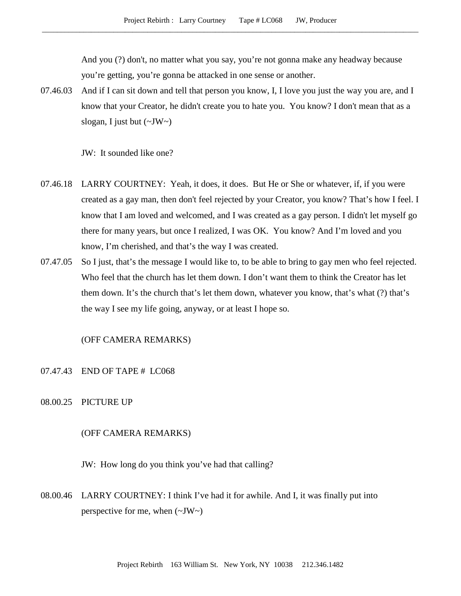And you (?) don't, no matter what you say, you're not gonna make any headway because you're getting, you're gonna be attacked in one sense or another.

07.46.03 And if I can sit down and tell that person you know, I, I love you just the way you are, and I know that your Creator, he didn't create you to hate you. You know? I don't mean that as a slogan, I just but  $(\sim JW \sim)$ 

JW: It sounded like one?

- 07.46.18 LARRY COURTNEY: Yeah, it does, it does. But He or She or whatever, if, if you were created as a gay man, then don't feel rejected by your Creator, you know? That's how I feel. I know that I am loved and welcomed, and I was created as a gay person. I didn't let myself go there for many years, but once I realized, I was OK. You know? And I'm loved and you know, I'm cherished, and that's the way I was created.
- 07.47.05 So I just, that's the message I would like to, to be able to bring to gay men who feel rejected. Who feel that the church has let them down. I don't want them to think the Creator has let them down. It's the church that's let them down, whatever you know, that's what (?) that's the way I see my life going, anyway, or at least I hope so.

## (OFF CAMERA REMARKS)

- 07.47.43 END OF TAPE # LC068
- 08.00.25 PICTURE UP

#### (OFF CAMERA REMARKS)

JW: How long do you think you've had that calling?

08.00.46 LARRY COURTNEY: I think I've had it for awhile. And I, it was finally put into perspective for me, when  $(\sim JW)$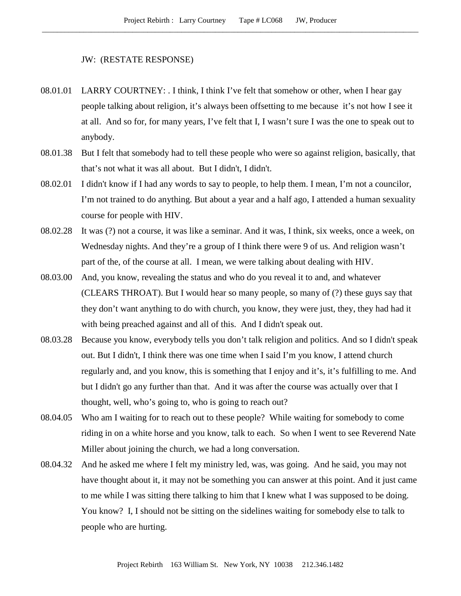### JW: (RESTATE RESPONSE)

- 08.01.01 LARRY COURTNEY: . I think, I think I've felt that somehow or other, when I hear gay people talking about religion, it's always been offsetting to me because it's not how I see it at all. And so for, for many years, I've felt that I, I wasn't sure I was the one to speak out to anybody.
- 08.01.38 But I felt that somebody had to tell these people who were so against religion, basically, that that's not what it was all about. But I didn't, I didn't.
- 08.02.01 I didn't know if I had any words to say to people, to help them. I mean, I'm not a councilor, I'm not trained to do anything. But about a year and a half ago, I attended a human sexuality course for people with HIV.
- 08.02.28 It was (?) not a course, it was like a seminar. And it was, I think, six weeks, once a week, on Wednesday nights. And they're a group of I think there were 9 of us. And religion wasn't part of the, of the course at all. I mean, we were talking about dealing with HIV.
- 08.03.00 And, you know, revealing the status and who do you reveal it to and, and whatever (CLEARS THROAT). But I would hear so many people, so many of (?) these guys say that they don't want anything to do with church, you know, they were just, they, they had had it with being preached against and all of this. And I didn't speak out.
- 08.03.28 Because you know, everybody tells you don't talk religion and politics. And so I didn't speak out. But I didn't, I think there was one time when I said I'm you know, I attend church regularly and, and you know, this is something that I enjoy and it's, it's fulfilling to me. And but I didn't go any further than that. And it was after the course was actually over that I thought, well, who's going to, who is going to reach out?
- 08.04.05 Who am I waiting for to reach out to these people? While waiting for somebody to come riding in on a white horse and you know, talk to each. So when I went to see Reverend Nate Miller about joining the church, we had a long conversation.
- 08.04.32 And he asked me where I felt my ministry led, was, was going. And he said, you may not have thought about it, it may not be something you can answer at this point. And it just came to me while I was sitting there talking to him that I knew what I was supposed to be doing. You know? I, I should not be sitting on the sidelines waiting for somebody else to talk to people who are hurting.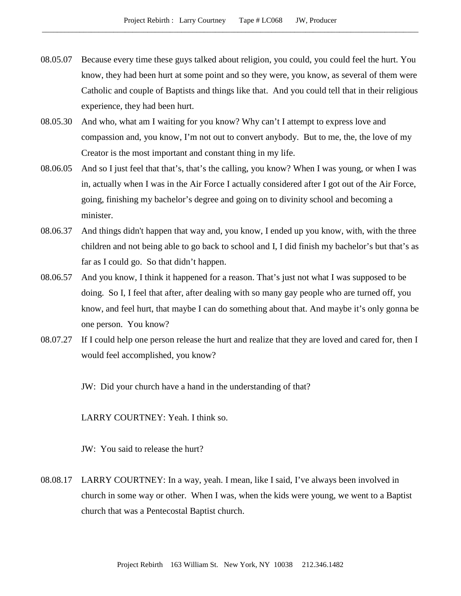- 08.05.07 Because every time these guys talked about religion, you could, you could feel the hurt. You know, they had been hurt at some point and so they were, you know, as several of them were Catholic and couple of Baptists and things like that. And you could tell that in their religious experience, they had been hurt.
- 08.05.30 And who, what am I waiting for you know? Why can't I attempt to express love and compassion and, you know, I'm not out to convert anybody. But to me, the, the love of my Creator is the most important and constant thing in my life.
- 08.06.05 And so I just feel that that's, that's the calling, you know? When I was young, or when I was in, actually when I was in the Air Force I actually considered after I got out of the Air Force, going, finishing my bachelor's degree and going on to divinity school and becoming a minister.
- 08.06.37 And things didn't happen that way and, you know, I ended up you know, with, with the three children and not being able to go back to school and I, I did finish my bachelor's but that's as far as I could go. So that didn't happen.
- 08.06.57 And you know, I think it happened for a reason. That's just not what I was supposed to be doing. So I, I feel that after, after dealing with so many gay people who are turned off, you know, and feel hurt, that maybe I can do something about that. And maybe it's only gonna be one person. You know?
- 08.07.27 If I could help one person release the hurt and realize that they are loved and cared for, then I would feel accomplished, you know?

JW: Did your church have a hand in the understanding of that?

LARRY COURTNEY: Yeah. I think so.

JW: You said to release the hurt?

08.08.17 LARRY COURTNEY: In a way, yeah. I mean, like I said, I've always been involved in church in some way or other. When I was, when the kids were young, we went to a Baptist church that was a Pentecostal Baptist church.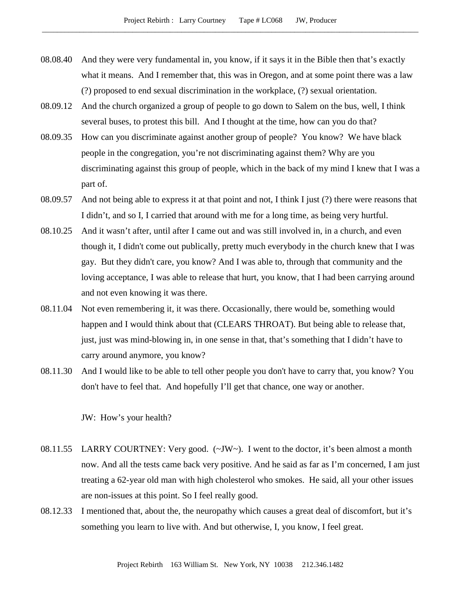- 08.08.40 And they were very fundamental in, you know, if it says it in the Bible then that's exactly what it means. And I remember that, this was in Oregon, and at some point there was a law (?) proposed to end sexual discrimination in the workplace, (?) sexual orientation.
- 08.09.12 And the church organized a group of people to go down to Salem on the bus, well, I think several buses, to protest this bill. And I thought at the time, how can you do that?
- 08.09.35 How can you discriminate against another group of people? You know? We have black people in the congregation, you're not discriminating against them? Why are you discriminating against this group of people, which in the back of my mind I knew that I was a part of.
- 08.09.57 And not being able to express it at that point and not, I think I just (?) there were reasons that I didn't, and so I, I carried that around with me for a long time, as being very hurtful.
- 08.10.25 And it wasn't after, until after I came out and was still involved in, in a church, and even though it, I didn't come out publically, pretty much everybody in the church knew that I was gay. But they didn't care, you know? And I was able to, through that community and the loving acceptance, I was able to release that hurt, you know, that I had been carrying around and not even knowing it was there.
- 08.11.04 Not even remembering it, it was there. Occasionally, there would be, something would happen and I would think about that (CLEARS THROAT). But being able to release that, just, just was mind-blowing in, in one sense in that, that's something that I didn't have to carry around anymore, you know?
- 08.11.30 And I would like to be able to tell other people you don't have to carry that, you know? You don't have to feel that. And hopefully I'll get that chance, one way or another.

JW: How's your health?

- 08.11.55 LARRY COURTNEY: Very good. (~JW~). I went to the doctor, it's been almost a month now. And all the tests came back very positive. And he said as far as I'm concerned, I am just treating a 62-year old man with high cholesterol who smokes. He said, all your other issues are non-issues at this point. So I feel really good.
- 08.12.33 I mentioned that, about the, the neuropathy which causes a great deal of discomfort, but it's something you learn to live with. And but otherwise, I, you know, I feel great.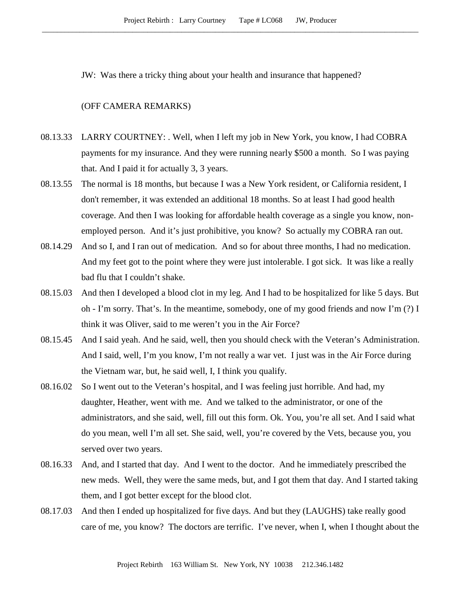JW: Was there a tricky thing about your health and insurance that happened?

## (OFF CAMERA REMARKS)

- 08.13.33 LARRY COURTNEY: . Well, when I left my job in New York, you know, I had COBRA payments for my insurance. And they were running nearly \$500 a month. So I was paying that. And I paid it for actually 3, 3 years.
- 08.13.55 The normal is 18 months, but because I was a New York resident, or California resident, I don't remember, it was extended an additional 18 months. So at least I had good health coverage. And then I was looking for affordable health coverage as a single you know, nonemployed person. And it's just prohibitive, you know? So actually my COBRA ran out.
- 08.14.29 And so I, and I ran out of medication. And so for about three months, I had no medication. And my feet got to the point where they were just intolerable. I got sick. It was like a really bad flu that I couldn't shake.
- 08.15.03 And then I developed a blood clot in my leg. And I had to be hospitalized for like 5 days. But oh - I'm sorry. That's. In the meantime, somebody, one of my good friends and now I'm (?) I think it was Oliver, said to me weren't you in the Air Force?
- 08.15.45 And I said yeah. And he said, well, then you should check with the Veteran's Administration. And I said, well, I'm you know, I'm not really a war vet. I just was in the Air Force during the Vietnam war, but, he said well, I, I think you qualify.
- 08.16.02 So I went out to the Veteran's hospital, and I was feeling just horrible. And had, my daughter, Heather, went with me. And we talked to the administrator, or one of the administrators, and she said, well, fill out this form. Ok. You, you're all set. And I said what do you mean, well I'm all set. She said, well, you're covered by the Vets, because you, you served over two years.
- 08.16.33 And, and I started that day. And I went to the doctor. And he immediately prescribed the new meds. Well, they were the same meds, but, and I got them that day. And I started taking them, and I got better except for the blood clot.
- 08.17.03 And then I ended up hospitalized for five days. And but they (LAUGHS) take really good care of me, you know? The doctors are terrific. I've never, when I, when I thought about the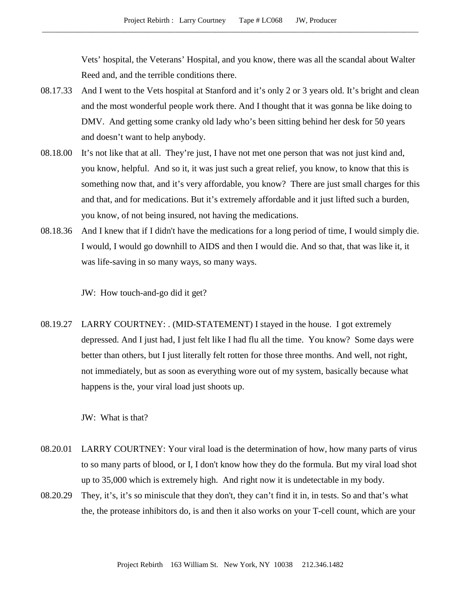Vets' hospital, the Veterans' Hospital, and you know, there was all the scandal about Walter Reed and, and the terrible conditions there.

- 08.17.33 And I went to the Vets hospital at Stanford and it's only 2 or 3 years old. It's bright and clean and the most wonderful people work there. And I thought that it was gonna be like doing to DMV. And getting some cranky old lady who's been sitting behind her desk for 50 years and doesn't want to help anybody.
- 08.18.00 It's not like that at all. They're just, I have not met one person that was not just kind and, you know, helpful. And so it, it was just such a great relief, you know, to know that this is something now that, and it's very affordable, you know? There are just small charges for this and that, and for medications. But it's extremely affordable and it just lifted such a burden, you know, of not being insured, not having the medications.
- 08.18.36 And I knew that if I didn't have the medications for a long period of time, I would simply die. I would, I would go downhill to AIDS and then I would die. And so that, that was like it, it was life-saving in so many ways, so many ways.

JW: How touch-and-go did it get?

08.19.27 LARRY COURTNEY: . (MID-STATEMENT) I stayed in the house. I got extremely depressed. And I just had, I just felt like I had flu all the time. You know? Some days were better than others, but I just literally felt rotten for those three months. And well, not right, not immediately, but as soon as everything wore out of my system, basically because what happens is the, your viral load just shoots up.

JW: What is that?

- 08.20.01 LARRY COURTNEY: Your viral load is the determination of how, how many parts of virus to so many parts of blood, or I, I don't know how they do the formula. But my viral load shot up to 35,000 which is extremely high. And right now it is undetectable in my body.
- 08.20.29 They, it's, it's so miniscule that they don't, they can't find it in, in tests. So and that's what the, the protease inhibitors do, is and then it also works on your T-cell count, which are your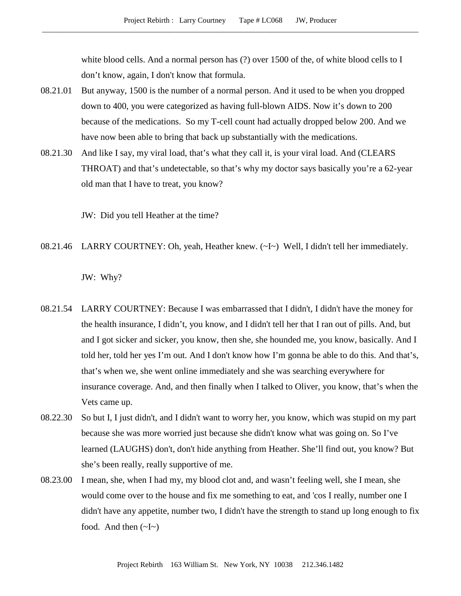white blood cells. And a normal person has (?) over 1500 of the, of white blood cells to I don't know, again, I don't know that formula.

- 08.21.01 But anyway, 1500 is the number of a normal person. And it used to be when you dropped down to 400, you were categorized as having full-blown AIDS. Now it's down to 200 because of the medications. So my T-cell count had actually dropped below 200. And we have now been able to bring that back up substantially with the medications.
- 08.21.30 And like I say, my viral load, that's what they call it, is your viral load. And (CLEARS THROAT) and that's undetectable, so that's why my doctor says basically you're a 62-year old man that I have to treat, you know?

JW: Did you tell Heather at the time?

08.21.46 LARRY COURTNEY: Oh, yeah, Heather knew. (~I~) Well, I didn't tell her immediately.

JW: Why?

- 08.21.54 LARRY COURTNEY: Because I was embarrassed that I didn't, I didn't have the money for the health insurance, I didn't, you know, and I didn't tell her that I ran out of pills. And, but and I got sicker and sicker, you know, then she, she hounded me, you know, basically. And I told her, told her yes I'm out. And I don't know how I'm gonna be able to do this. And that's, that's when we, she went online immediately and she was searching everywhere for insurance coverage. And, and then finally when I talked to Oliver, you know, that's when the Vets came up.
- 08.22.30 So but I, I just didn't, and I didn't want to worry her, you know, which was stupid on my part because she was more worried just because she didn't know what was going on. So I've learned (LAUGHS) don't, don't hide anything from Heather. She'll find out, you know? But she's been really, really supportive of me.
- 08.23.00 I mean, she, when I had my, my blood clot and, and wasn't feeling well, she I mean, she would come over to the house and fix me something to eat, and 'cos I really, number one I didn't have any appetite, number two, I didn't have the strength to stand up long enough to fix food. And then  $(\sim I \sim)$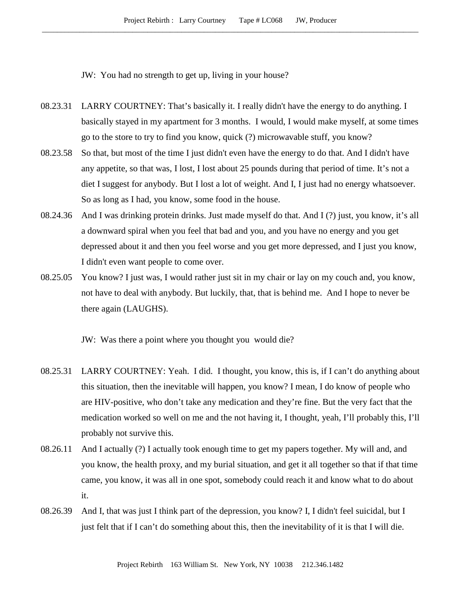JW: You had no strength to get up, living in your house?

- 08.23.31 LARRY COURTNEY: That's basically it. I really didn't have the energy to do anything. I basically stayed in my apartment for 3 months. I would, I would make myself, at some times go to the store to try to find you know, quick (?) microwavable stuff, you know?
- 08.23.58 So that, but most of the time I just didn't even have the energy to do that. And I didn't have any appetite, so that was, I lost, I lost about 25 pounds during that period of time. It's not a diet I suggest for anybody. But I lost a lot of weight. And I, I just had no energy whatsoever. So as long as I had, you know, some food in the house.
- 08.24.36 And I was drinking protein drinks. Just made myself do that. And I (?) just, you know, it's all a downward spiral when you feel that bad and you, and you have no energy and you get depressed about it and then you feel worse and you get more depressed, and I just you know, I didn't even want people to come over.
- 08.25.05 You know? I just was, I would rather just sit in my chair or lay on my couch and, you know, not have to deal with anybody. But luckily, that, that is behind me. And I hope to never be there again (LAUGHS).

JW: Was there a point where you thought you would die?

- 08.25.31 LARRY COURTNEY: Yeah. I did. I thought, you know, this is, if I can't do anything about this situation, then the inevitable will happen, you know? I mean, I do know of people who are HIV-positive, who don't take any medication and they're fine. But the very fact that the medication worked so well on me and the not having it, I thought, yeah, I'll probably this, I'll probably not survive this.
- 08.26.11 And I actually (?) I actually took enough time to get my papers together. My will and, and you know, the health proxy, and my burial situation, and get it all together so that if that time came, you know, it was all in one spot, somebody could reach it and know what to do about it.
- 08.26.39 And I, that was just I think part of the depression, you know? I, I didn't feel suicidal, but I just felt that if I can't do something about this, then the inevitability of it is that I will die.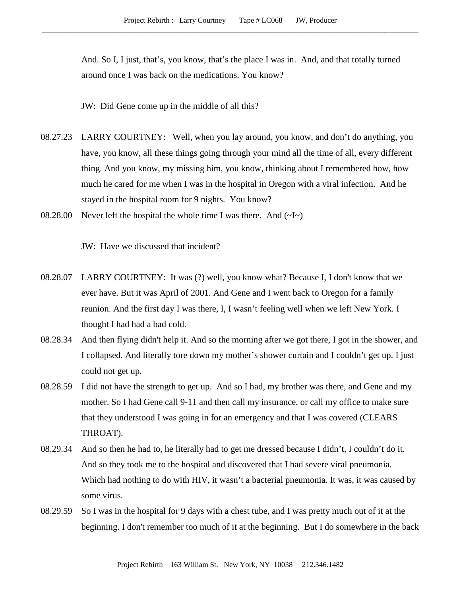And. So I, I just, that's, you know, that's the place I was in. And, and that totally turned around once I was back on the medications. You know?

JW: Did Gene come up in the middle of all this?

- 08.27.23 LARRY COURTNEY: Well, when you lay around, you know, and don't do anything, you have, you know, all these things going through your mind all the time of all, every different thing. And you know, my missing him, you know, thinking about I remembered how, how much he cared for me when I was in the hospital in Oregon with a viral infection. And he stayed in the hospital room for 9 nights. You know?
- 08.28.00 Never left the hospital the whole time I was there. And  $(\sim I \sim)$

JW: Have we discussed that incident?

- 08.28.07 LARRY COURTNEY: It was (?) well, you know what? Because I, I don't know that we ever have. But it was April of 2001. And Gene and I went back to Oregon for a family reunion. And the first day I was there, I, I wasn't feeling well when we left New York. I thought I had had a bad cold.
- 08.28.34 And then flying didn't help it. And so the morning after we got there, I got in the shower, and I collapsed. And literally tore down my mother's shower curtain and I couldn't get up. I just could not get up.
- 08.28.59 I did not have the strength to get up. And so I had, my brother was there, and Gene and my mother. So I had Gene call 9-11 and then call my insurance, or call my office to make sure that they understood I was going in for an emergency and that I was covered (CLEARS THROAT).
- 08.29.34 And so then he had to, he literally had to get me dressed because I didn't, I couldn't do it. And so they took me to the hospital and discovered that I had severe viral pneumonia. Which had nothing to do with HIV, it wasn't a bacterial pneumonia. It was, it was caused by some virus.
- 08.29.59 So I was in the hospital for 9 days with a chest tube, and I was pretty much out of it at the beginning. I don't remember too much of it at the beginning. But I do somewhere in the back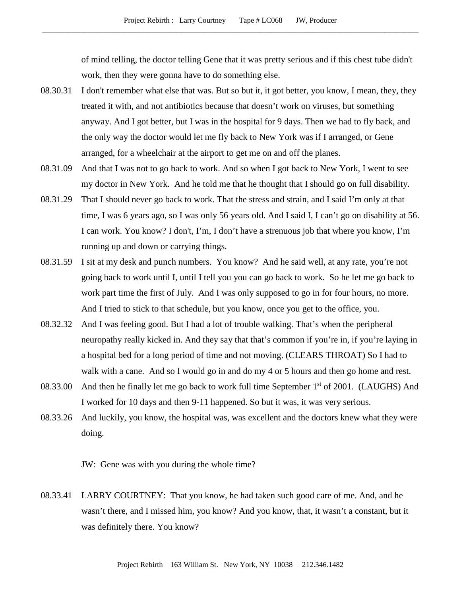of mind telling, the doctor telling Gene that it was pretty serious and if this chest tube didn't work, then they were gonna have to do something else.

- 08.30.31 I don't remember what else that was. But so but it, it got better, you know, I mean, they, they treated it with, and not antibiotics because that doesn't work on viruses, but something anyway. And I got better, but I was in the hospital for 9 days. Then we had to fly back, and the only way the doctor would let me fly back to New York was if I arranged, or Gene arranged, for a wheelchair at the airport to get me on and off the planes.
- 08.31.09 And that I was not to go back to work. And so when I got back to New York, I went to see my doctor in New York. And he told me that he thought that I should go on full disability.
- 08.31.29 That I should never go back to work. That the stress and strain, and I said I'm only at that time, I was 6 years ago, so I was only 56 years old. And I said I, I can't go on disability at 56. I can work. You know? I don't, I'm, I don't have a strenuous job that where you know, I'm running up and down or carrying things.
- 08.31.59 I sit at my desk and punch numbers. You know? And he said well, at any rate, you're not going back to work until I, until I tell you you can go back to work. So he let me go back to work part time the first of July. And I was only supposed to go in for four hours, no more. And I tried to stick to that schedule, but you know, once you get to the office, you.
- 08.32.32 And I was feeling good. But I had a lot of trouble walking. That's when the peripheral neuropathy really kicked in. And they say that that's common if you're in, if you're laying in a hospital bed for a long period of time and not moving. (CLEARS THROAT) So I had to walk with a cane. And so I would go in and do my 4 or 5 hours and then go home and rest.
- 08.33.00 And then he finally let me go back to work full time September 1<sup>st</sup> of 2001. (LAUGHS) And I worked for 10 days and then 9-11 happened. So but it was, it was very serious.
- 08.33.26 And luckily, you know, the hospital was, was excellent and the doctors knew what they were doing.

JW: Gene was with you during the whole time?

08.33.41 LARRY COURTNEY: That you know, he had taken such good care of me. And, and he wasn't there, and I missed him, you know? And you know, that, it wasn't a constant, but it was definitely there. You know?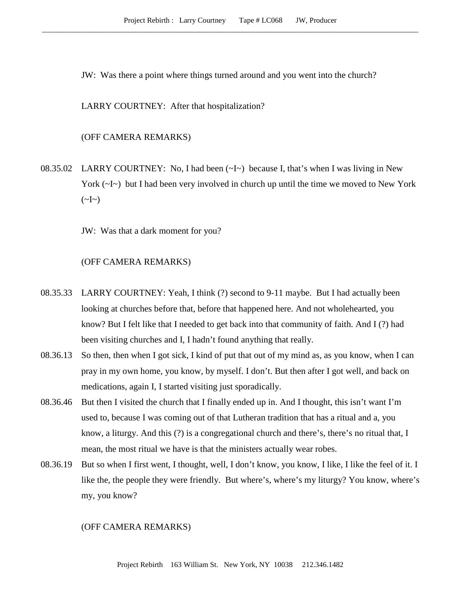JW: Was there a point where things turned around and you went into the church?

LARRY COURTNEY: After that hospitalization?

# (OFF CAMERA REMARKS)

08.35.02 LARRY COURTNEY: No, I had been  $(\sim I \sim)$  because I, that's when I was living in New York  $(\sim]$  but I had been very involved in church up until the time we moved to New York  $(\sim]_{\sim})$ 

JW: Was that a dark moment for you?

# (OFF CAMERA REMARKS)

- 08.35.33 LARRY COURTNEY: Yeah, I think (?) second to 9-11 maybe. But I had actually been looking at churches before that, before that happened here. And not wholehearted, you know? But I felt like that I needed to get back into that community of faith. And I (?) had been visiting churches and I, I hadn't found anything that really.
- 08.36.13 So then, then when I got sick, I kind of put that out of my mind as, as you know, when I can pray in my own home, you know, by myself. I don't. But then after I got well, and back on medications, again I, I started visiting just sporadically.
- 08.36.46 But then I visited the church that I finally ended up in. And I thought, this isn't want I'm used to, because I was coming out of that Lutheran tradition that has a ritual and a, you know, a liturgy. And this (?) is a congregational church and there's, there's no ritual that, I mean, the most ritual we have is that the ministers actually wear robes.
- 08.36.19 But so when I first went, I thought, well, I don't know, you know, I like, I like the feel of it. I like the, the people they were friendly. But where's, where's my liturgy? You know, where's my, you know?

### (OFF CAMERA REMARKS)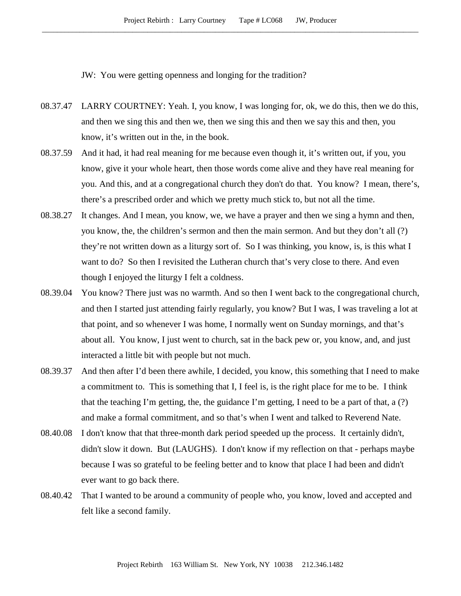JW: You were getting openness and longing for the tradition?

- 08.37.47 LARRY COURTNEY: Yeah. I, you know, I was longing for, ok, we do this, then we do this, and then we sing this and then we, then we sing this and then we say this and then, you know, it's written out in the, in the book.
- 08.37.59 And it had, it had real meaning for me because even though it, it's written out, if you, you know, give it your whole heart, then those words come alive and they have real meaning for you. And this, and at a congregational church they don't do that. You know? I mean, there's, there's a prescribed order and which we pretty much stick to, but not all the time.
- 08.38.27 It changes. And I mean, you know, we, we have a prayer and then we sing a hymn and then, you know, the, the children's sermon and then the main sermon. And but they don't all (?) they're not written down as a liturgy sort of. So I was thinking, you know, is, is this what I want to do? So then I revisited the Lutheran church that's very close to there. And even though I enjoyed the liturgy I felt a coldness.
- 08.39.04 You know? There just was no warmth. And so then I went back to the congregational church, and then I started just attending fairly regularly, you know? But I was, I was traveling a lot at that point, and so whenever I was home, I normally went on Sunday mornings, and that's about all. You know, I just went to church, sat in the back pew or, you know, and, and just interacted a little bit with people but not much.
- 08.39.37 And then after I'd been there awhile, I decided, you know, this something that I need to make a commitment to. This is something that I, I feel is, is the right place for me to be. I think that the teaching I'm getting, the, the guidance I'm getting, I need to be a part of that, a  $(?)$ and make a formal commitment, and so that's when I went and talked to Reverend Nate.
- 08.40.08 I don't know that that three-month dark period speeded up the process. It certainly didn't, didn't slow it down. But (LAUGHS). I don't know if my reflection on that - perhaps maybe because I was so grateful to be feeling better and to know that place I had been and didn't ever want to go back there.
- 08.40.42 That I wanted to be around a community of people who, you know, loved and accepted and felt like a second family.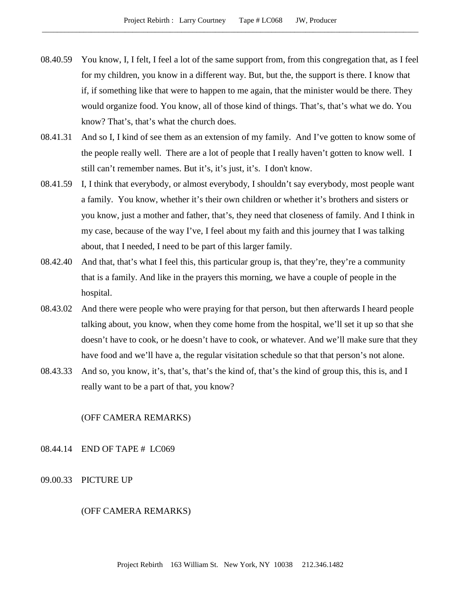- 08.40.59 You know, I, I felt, I feel a lot of the same support from, from this congregation that, as I feel for my children, you know in a different way. But, but the, the support is there. I know that if, if something like that were to happen to me again, that the minister would be there. They would organize food. You know, all of those kind of things. That's, that's what we do. You know? That's, that's what the church does.
- 08.41.31 And so I, I kind of see them as an extension of my family. And I've gotten to know some of the people really well. There are a lot of people that I really haven't gotten to know well. I still can't remember names. But it's, it's just, it's. I don't know.
- 08.41.59 I, I think that everybody, or almost everybody, I shouldn't say everybody, most people want a family. You know, whether it's their own children or whether it's brothers and sisters or you know, just a mother and father, that's, they need that closeness of family. And I think in my case, because of the way I've, I feel about my faith and this journey that I was talking about, that I needed, I need to be part of this larger family.
- 08.42.40 And that, that's what I feel this, this particular group is, that they're, they're a community that is a family. And like in the prayers this morning, we have a couple of people in the hospital.
- 08.43.02 And there were people who were praying for that person, but then afterwards I heard people talking about, you know, when they come home from the hospital, we'll set it up so that she doesn't have to cook, or he doesn't have to cook, or whatever. And we'll make sure that they have food and we'll have a, the regular visitation schedule so that that person's not alone.
- 08.43.33 And so, you know, it's, that's, that's the kind of, that's the kind of group this, this is, and I really want to be a part of that, you know?

# (OFF CAMERA REMARKS)

# 08.44.14 END OF TAPE # LC069

### 09.00.33 PICTURE UP

#### (OFF CAMERA REMARKS)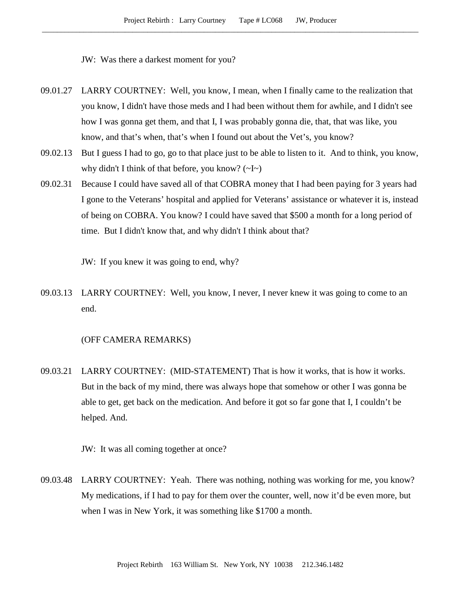JW: Was there a darkest moment for you?

- 09.01.27 LARRY COURTNEY: Well, you know, I mean, when I finally came to the realization that you know, I didn't have those meds and I had been without them for awhile, and I didn't see how I was gonna get them, and that I, I was probably gonna die, that, that was like, you know, and that's when, that's when I found out about the Vet's, you know?
- 09.02.13 But I guess I had to go, go to that place just to be able to listen to it. And to think, you know, why didn't I think of that before, you know?  $(\sim] \sim$
- 09.02.31 Because I could have saved all of that COBRA money that I had been paying for 3 years had I gone to the Veterans' hospital and applied for Veterans' assistance or whatever it is, instead of being on COBRA. You know? I could have saved that \$500 a month for a long period of time. But I didn't know that, and why didn't I think about that?

JW: If you knew it was going to end, why?

09.03.13 LARRY COURTNEY: Well, you know, I never, I never knew it was going to come to an end.

# (OFF CAMERA REMARKS)

09.03.21 LARRY COURTNEY: (MID-STATEMENT) That is how it works, that is how it works. But in the back of my mind, there was always hope that somehow or other I was gonna be able to get, get back on the medication. And before it got so far gone that I, I couldn't be helped. And.

JW: It was all coming together at once?

09.03.48 LARRY COURTNEY: Yeah. There was nothing, nothing was working for me, you know? My medications, if I had to pay for them over the counter, well, now it'd be even more, but when I was in New York, it was something like \$1700 a month.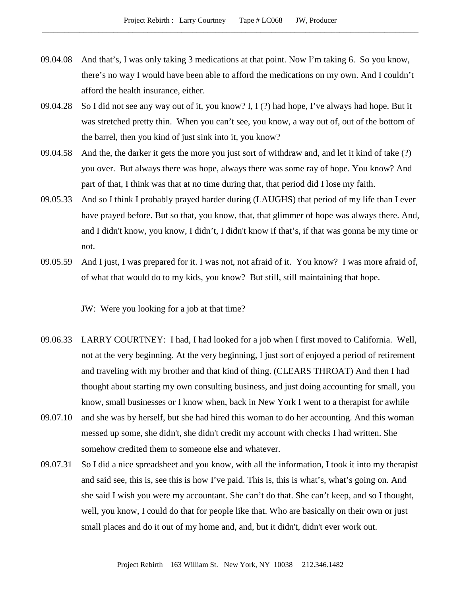- 09.04.08 And that's, I was only taking 3 medications at that point. Now I'm taking 6. So you know, there's no way I would have been able to afford the medications on my own. And I couldn't afford the health insurance, either.
- 09.04.28 So I did not see any way out of it, you know? I, I (?) had hope, I've always had hope. But it was stretched pretty thin. When you can't see, you know, a way out of, out of the bottom of the barrel, then you kind of just sink into it, you know?
- 09.04.58 And the, the darker it gets the more you just sort of withdraw and, and let it kind of take (?) you over. But always there was hope, always there was some ray of hope. You know? And part of that, I think was that at no time during that, that period did I lose my faith.
- 09.05.33 And so I think I probably prayed harder during (LAUGHS) that period of my life than I ever have prayed before. But so that, you know, that, that glimmer of hope was always there. And, and I didn't know, you know, I didn't, I didn't know if that's, if that was gonna be my time or not.
- 09.05.59 And I just, I was prepared for it. I was not, not afraid of it. You know? I was more afraid of, of what that would do to my kids, you know? But still, still maintaining that hope.

JW: Were you looking for a job at that time?

- 09.06.33 LARRY COURTNEY: I had, I had looked for a job when I first moved to California. Well, not at the very beginning. At the very beginning, I just sort of enjoyed a period of retirement and traveling with my brother and that kind of thing. (CLEARS THROAT) And then I had thought about starting my own consulting business, and just doing accounting for small, you know, small businesses or I know when, back in New York I went to a therapist for awhile
- 09.07.10 and she was by herself, but she had hired this woman to do her accounting. And this woman messed up some, she didn't, she didn't credit my account with checks I had written. She somehow credited them to someone else and whatever.
- 09.07.31 So I did a nice spreadsheet and you know, with all the information, I took it into my therapist and said see, this is, see this is how I've paid. This is, this is what's, what's going on. And she said I wish you were my accountant. She can't do that. She can't keep, and so I thought, well, you know, I could do that for people like that. Who are basically on their own or just small places and do it out of my home and, and, but it didn't, didn't ever work out.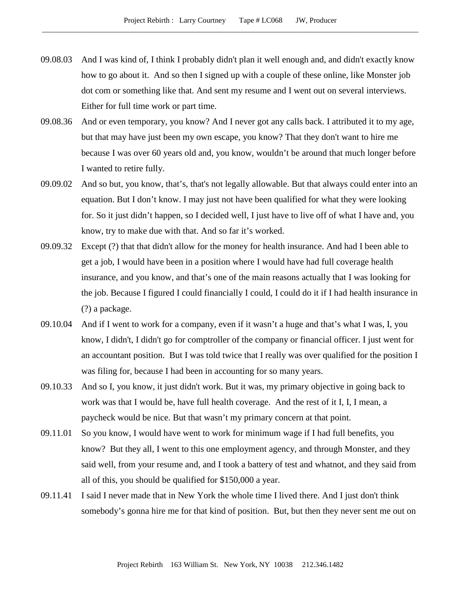- 09.08.03 And I was kind of, I think I probably didn't plan it well enough and, and didn't exactly know how to go about it. And so then I signed up with a couple of these online, like Monster job dot com or something like that. And sent my resume and I went out on several interviews. Either for full time work or part time.
- 09.08.36 And or even temporary, you know? And I never got any calls back. I attributed it to my age, but that may have just been my own escape, you know? That they don't want to hire me because I was over 60 years old and, you know, wouldn't be around that much longer before I wanted to retire fully.
- 09.09.02 And so but, you know, that's, that's not legally allowable. But that always could enter into an equation. But I don't know. I may just not have been qualified for what they were looking for. So it just didn't happen, so I decided well, I just have to live off of what I have and, you know, try to make due with that. And so far it's worked.
- 09.09.32 Except (?) that that didn't allow for the money for health insurance. And had I been able to get a job, I would have been in a position where I would have had full coverage health insurance, and you know, and that's one of the main reasons actually that I was looking for the job. Because I figured I could financially I could, I could do it if I had health insurance in (?) a package.
- 09.10.04 And if I went to work for a company, even if it wasn't a huge and that's what I was, I, you know, I didn't, I didn't go for comptroller of the company or financial officer. I just went for an accountant position. But I was told twice that I really was over qualified for the position I was filing for, because I had been in accounting for so many years.
- 09.10.33 And so I, you know, it just didn't work. But it was, my primary objective in going back to work was that I would be, have full health coverage. And the rest of it I, I, I mean, a paycheck would be nice. But that wasn't my primary concern at that point.
- 09.11.01 So you know, I would have went to work for minimum wage if I had full benefits, you know? But they all, I went to this one employment agency, and through Monster, and they said well, from your resume and, and I took a battery of test and whatnot, and they said from all of this, you should be qualified for \$150,000 a year.
- 09.11.41 I said I never made that in New York the whole time I lived there. And I just don't think somebody's gonna hire me for that kind of position. But, but then they never sent me out on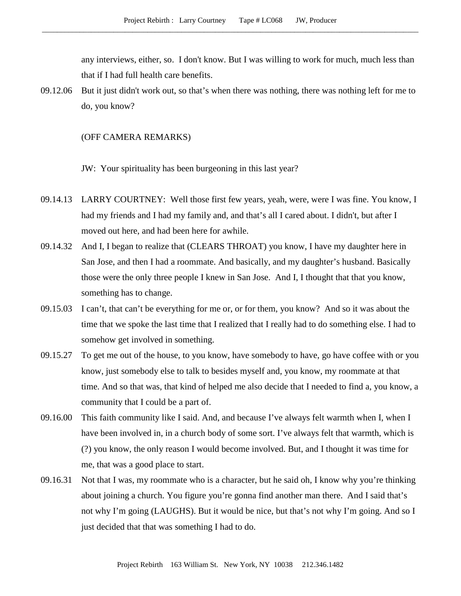any interviews, either, so. I don't know. But I was willing to work for much, much less than that if I had full health care benefits.

09.12.06 But it just didn't work out, so that's when there was nothing, there was nothing left for me to do, you know?

## (OFF CAMERA REMARKS)

JW: Your spirituality has been burgeoning in this last year?

- 09.14.13 LARRY COURTNEY: Well those first few years, yeah, were, were I was fine. You know, I had my friends and I had my family and, and that's all I cared about. I didn't, but after I moved out here, and had been here for awhile.
- 09.14.32 And I, I began to realize that (CLEARS THROAT) you know, I have my daughter here in San Jose, and then I had a roommate. And basically, and my daughter's husband. Basically those were the only three people I knew in San Jose. And I, I thought that that you know, something has to change.
- 09.15.03 I can't, that can't be everything for me or, or for them, you know? And so it was about the time that we spoke the last time that I realized that I really had to do something else. I had to somehow get involved in something.
- 09.15.27 To get me out of the house, to you know, have somebody to have, go have coffee with or you know, just somebody else to talk to besides myself and, you know, my roommate at that time. And so that was, that kind of helped me also decide that I needed to find a, you know, a community that I could be a part of.
- 09.16.00 This faith community like I said. And, and because I've always felt warmth when I, when I have been involved in, in a church body of some sort. I've always felt that warmth, which is (?) you know, the only reason I would become involved. But, and I thought it was time for me, that was a good place to start.
- 09.16.31 Not that I was, my roommate who is a character, but he said oh, I know why you're thinking about joining a church. You figure you're gonna find another man there. And I said that's not why I'm going (LAUGHS). But it would be nice, but that's not why I'm going. And so I just decided that that was something I had to do.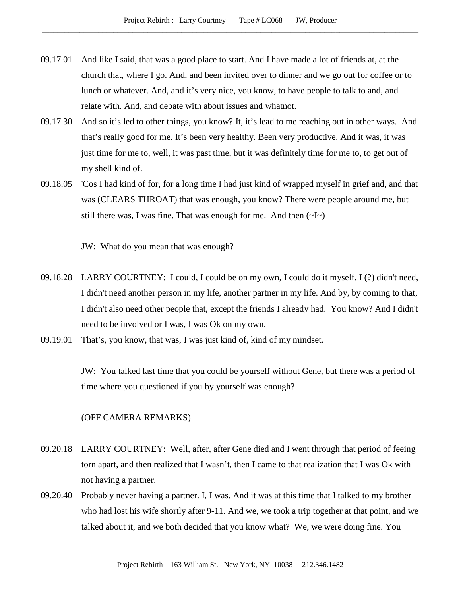- 09.17.01 And like I said, that was a good place to start. And I have made a lot of friends at, at the church that, where I go. And, and been invited over to dinner and we go out for coffee or to lunch or whatever. And, and it's very nice, you know, to have people to talk to and, and relate with. And, and debate with about issues and whatnot.
- 09.17.30 And so it's led to other things, you know? It, it's lead to me reaching out in other ways. And that's really good for me. It's been very healthy. Been very productive. And it was, it was just time for me to, well, it was past time, but it was definitely time for me to, to get out of my shell kind of.
- 09.18.05 'Cos I had kind of for, for a long time I had just kind of wrapped myself in grief and, and that was (CLEARS THROAT) that was enough, you know? There were people around me, but still there was, I was fine. That was enough for me. And then  $(\sim] \sim$ )

JW: What do you mean that was enough?

- 09.18.28 LARRY COURTNEY: I could, I could be on my own, I could do it myself. I (?) didn't need, I didn't need another person in my life, another partner in my life. And by, by coming to that, I didn't also need other people that, except the friends I already had. You know? And I didn't need to be involved or I was, I was Ok on my own.
- 09.19.01 That's, you know, that was, I was just kind of, kind of my mindset.

JW: You talked last time that you could be yourself without Gene, but there was a period of time where you questioned if you by yourself was enough?

### (OFF CAMERA REMARKS)

- 09.20.18 LARRY COURTNEY: Well, after, after Gene died and I went through that period of feeing torn apart, and then realized that I wasn't, then I came to that realization that I was Ok with not having a partner.
- 09.20.40 Probably never having a partner. I, I was. And it was at this time that I talked to my brother who had lost his wife shortly after 9-11. And we, we took a trip together at that point, and we talked about it, and we both decided that you know what? We, we were doing fine. You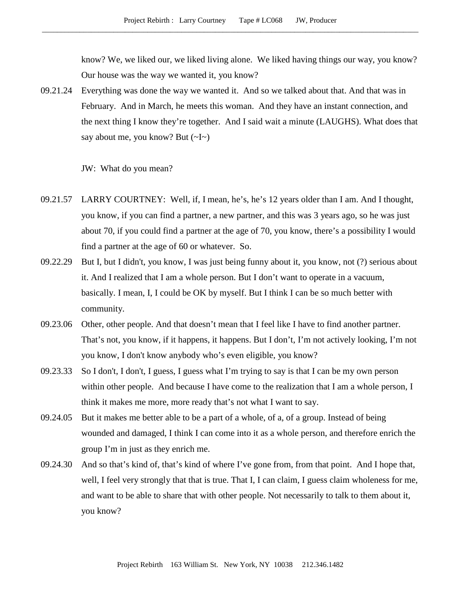know? We, we liked our, we liked living alone. We liked having things our way, you know? Our house was the way we wanted it, you know?

09.21.24 Everything was done the way we wanted it. And so we talked about that. And that was in February. And in March, he meets this woman. And they have an instant connection, and the next thing I know they're together. And I said wait a minute (LAUGHS). What does that say about me, you know? But  $(\sim] \sim$ )

JW: What do you mean?

- 09.21.57 LARRY COURTNEY: Well, if, I mean, he's, he's 12 years older than I am. And I thought, you know, if you can find a partner, a new partner, and this was 3 years ago, so he was just about 70, if you could find a partner at the age of 70, you know, there's a possibility I would find a partner at the age of 60 or whatever. So.
- 09.22.29 But I, but I didn't, you know, I was just being funny about it, you know, not (?) serious about it. And I realized that I am a whole person. But I don't want to operate in a vacuum, basically. I mean, I, I could be OK by myself. But I think I can be so much better with community.
- 09.23.06 Other, other people. And that doesn't mean that I feel like I have to find another partner. That's not, you know, if it happens, it happens. But I don't, I'm not actively looking, I'm not you know, I don't know anybody who's even eligible, you know?
- 09.23.33 So I don't, I don't, I guess, I guess what I'm trying to say is that I can be my own person within other people. And because I have come to the realization that I am a whole person, I think it makes me more, more ready that's not what I want to say.
- 09.24.05 But it makes me better able to be a part of a whole, of a, of a group. Instead of being wounded and damaged, I think I can come into it as a whole person, and therefore enrich the group I'm in just as they enrich me.
- 09.24.30 And so that's kind of, that's kind of where I've gone from, from that point. And I hope that, well, I feel very strongly that that is true. That I, I can claim, I guess claim wholeness for me, and want to be able to share that with other people. Not necessarily to talk to them about it, you know?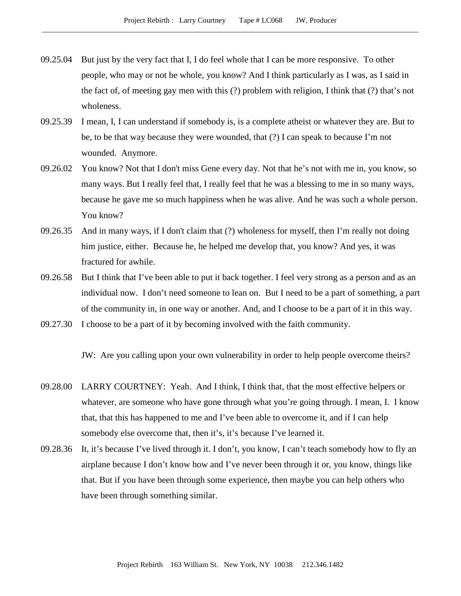- 09.25.04 But just by the very fact that I, I do feel whole that I can be more responsive. To other people, who may or not be whole, you know? And I think particularly as I was, as I said in the fact of, of meeting gay men with this (?) problem with religion, I think that (?) that's not wholeness.
- 09.25.39 I mean, I, I can understand if somebody is, is a complete atheist or whatever they are. But to be, to be that way because they were wounded, that (?) I can speak to because I'm not wounded. Anymore.
- 09.26.02 You know? Not that I don't miss Gene every day. Not that he's not with me in, you know, so many ways. But I really feel that, I really feel that he was a blessing to me in so many ways, because he gave me so much happiness when he was alive. And he was such a whole person. You know?
- 09.26.35 And in many ways, if I don't claim that (?) wholeness for myself, then I'm really not doing him justice, either. Because he, he helped me develop that, you know? And yes, it was fractured for awhile.
- 09.26.58 But I think that I've been able to put it back together. I feel very strong as a person and as an individual now. I don't need someone to lean on. But I need to be a part of something, a part of the community in, in one way or another. And, and I choose to be a part of it in this way.
- 09.27.30 I choose to be a part of it by becoming involved with the faith community.

JW: Are you calling upon your own vulnerability in order to help people overcome theirs?

- 09.28.00 LARRY COURTNEY: Yeah. And I think, I think that, that the most effective helpers or whatever, are someone who have gone through what you're going through. I mean, I. I know that, that this has happened to me and I've been able to overcome it, and if I can help somebody else overcome that, then it's, it's because I've learned it.
- 09.28.36 It, it's because I've lived through it. I don't, you know, I can't teach somebody how to fly an airplane because I don't know how and I've never been through it or, you know, things like that. But if you have been through some experience, then maybe you can help others who have been through something similar.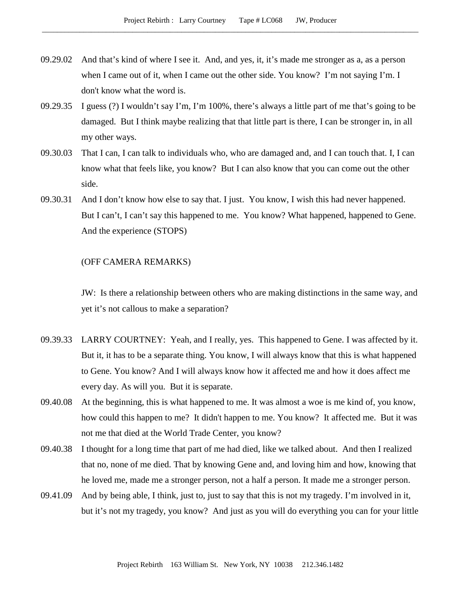- 09.29.02 And that's kind of where I see it. And, and yes, it, it's made me stronger as a, as a person when I came out of it, when I came out the other side. You know? I'm not saying I'm. I don't know what the word is.
- 09.29.35 I guess (?) I wouldn't say I'm, I'm 100%, there's always a little part of me that's going to be damaged. But I think maybe realizing that that little part is there, I can be stronger in, in all my other ways.
- 09.30.03 That I can, I can talk to individuals who, who are damaged and, and I can touch that. I, I can know what that feels like, you know? But I can also know that you can come out the other side.
- 09.30.31 And I don't know how else to say that. I just. You know, I wish this had never happened. But I can't, I can't say this happened to me. You know? What happened, happened to Gene. And the experience (STOPS)

# (OFF CAMERA REMARKS)

JW: Is there a relationship between others who are making distinctions in the same way, and yet it's not callous to make a separation?

- 09.39.33 LARRY COURTNEY: Yeah, and I really, yes. This happened to Gene. I was affected by it. But it, it has to be a separate thing. You know, I will always know that this is what happened to Gene. You know? And I will always know how it affected me and how it does affect me every day. As will you. But it is separate.
- 09.40.08 At the beginning, this is what happened to me. It was almost a woe is me kind of, you know, how could this happen to me? It didn't happen to me. You know? It affected me. But it was not me that died at the World Trade Center, you know?
- 09.40.38 I thought for a long time that part of me had died, like we talked about. And then I realized that no, none of me died. That by knowing Gene and, and loving him and how, knowing that he loved me, made me a stronger person, not a half a person. It made me a stronger person.
- 09.41.09 And by being able, I think, just to, just to say that this is not my tragedy. I'm involved in it, but it's not my tragedy, you know? And just as you will do everything you can for your little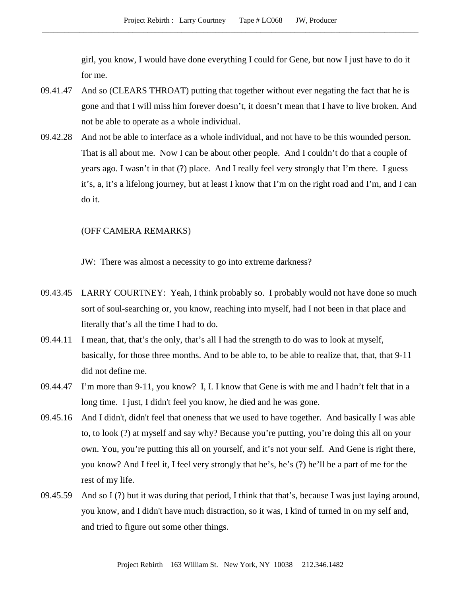girl, you know, I would have done everything I could for Gene, but now I just have to do it for me.

- 09.41.47 And so (CLEARS THROAT) putting that together without ever negating the fact that he is gone and that I will miss him forever doesn't, it doesn't mean that I have to live broken. And not be able to operate as a whole individual.
- 09.42.28 And not be able to interface as a whole individual, and not have to be this wounded person. That is all about me. Now I can be about other people. And I couldn't do that a couple of years ago. I wasn't in that (?) place. And I really feel very strongly that I'm there. I guess it's, a, it's a lifelong journey, but at least I know that I'm on the right road and I'm, and I can do it.

#### (OFF CAMERA REMARKS)

JW: There was almost a necessity to go into extreme darkness?

- 09.43.45 LARRY COURTNEY: Yeah, I think probably so. I probably would not have done so much sort of soul-searching or, you know, reaching into myself, had I not been in that place and literally that's all the time I had to do.
- 09.44.11 I mean, that, that's the only, that's all I had the strength to do was to look at myself, basically, for those three months. And to be able to, to be able to realize that, that, that 9-11 did not define me.
- 09.44.47 I'm more than 9-11, you know? I, I. I know that Gene is with me and I hadn't felt that in a long time. I just, I didn't feel you know, he died and he was gone.
- 09.45.16 And I didn't, didn't feel that oneness that we used to have together. And basically I was able to, to look (?) at myself and say why? Because you're putting, you're doing this all on your own. You, you're putting this all on yourself, and it's not your self. And Gene is right there, you know? And I feel it, I feel very strongly that he's, he's (?) he'll be a part of me for the rest of my life.
- 09.45.59 And so I (?) but it was during that period, I think that that's, because I was just laying around, you know, and I didn't have much distraction, so it was, I kind of turned in on my self and, and tried to figure out some other things.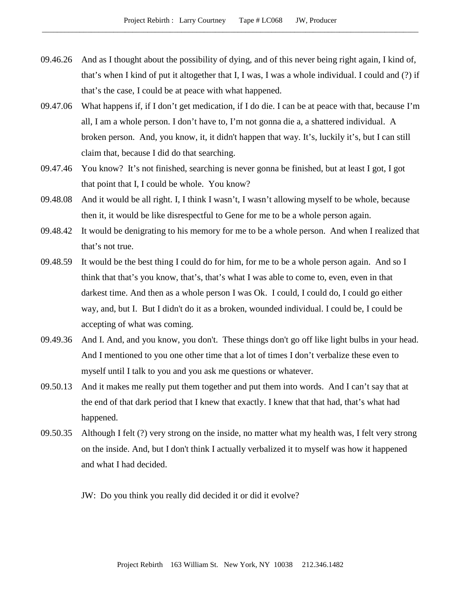- 09.46.26 And as I thought about the possibility of dying, and of this never being right again, I kind of, that's when I kind of put it altogether that I, I was, I was a whole individual. I could and (?) if that's the case, I could be at peace with what happened.
- 09.47.06 What happens if, if I don't get medication, if I do die. I can be at peace with that, because I'm all, I am a whole person. I don't have to, I'm not gonna die a, a shattered individual. A broken person. And, you know, it, it didn't happen that way. It's, luckily it's, but I can still claim that, because I did do that searching.
- 09.47.46 You know? It's not finished, searching is never gonna be finished, but at least I got, I got that point that I, I could be whole. You know?
- 09.48.08 And it would be all right. I, I think I wasn't, I wasn't allowing myself to be whole, because then it, it would be like disrespectful to Gene for me to be a whole person again.
- 09.48.42 It would be denigrating to his memory for me to be a whole person. And when I realized that that's not true.
- 09.48.59 It would be the best thing I could do for him, for me to be a whole person again. And so I think that that's you know, that's, that's what I was able to come to, even, even in that darkest time. And then as a whole person I was Ok. I could, I could do, I could go either way, and, but I. But I didn't do it as a broken, wounded individual. I could be, I could be accepting of what was coming.
- 09.49.36 And I. And, and you know, you don't. These things don't go off like light bulbs in your head. And I mentioned to you one other time that a lot of times I don't verbalize these even to myself until I talk to you and you ask me questions or whatever.
- 09.50.13 And it makes me really put them together and put them into words. And I can't say that at the end of that dark period that I knew that exactly. I knew that that had, that's what had happened.
- 09.50.35 Although I felt (?) very strong on the inside, no matter what my health was, I felt very strong on the inside. And, but I don't think I actually verbalized it to myself was how it happened and what I had decided.

JW: Do you think you really did decided it or did it evolve?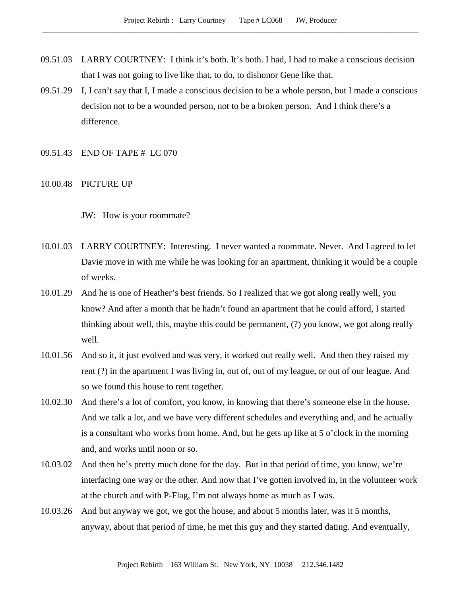- 09.51.03 LARRY COURTNEY: I think it's both. It's both. I had, I had to make a conscious decision that I was not going to live like that, to do, to dishonor Gene like that.
- 09.51.29 I, I can't say that I, I made a conscious decision to be a whole person, but I made a conscious decision not to be a wounded person, not to be a broken person. And I think there's a difference.
- 09.51.43 END OF TAPE # LC 070
- 10.00.48 PICTURE UP

JW: How is your roommate?

- 10.01.03 LARRY COURTNEY: Interesting. I never wanted a roommate. Never. And I agreed to let Davie move in with me while he was looking for an apartment, thinking it would be a couple of weeks.
- 10.01.29 And he is one of Heather's best friends. So I realized that we got along really well, you know? And after a month that he hadn't found an apartment that he could afford, I started thinking about well, this, maybe this could be permanent, (?) you know, we got along really well.
- 10.01.56 And so it, it just evolved and was very, it worked out really well. And then they raised my rent (?) in the apartment I was living in, out of, out of my league, or out of our league. And so we found this house to rent together.
- 10.02.30 And there's a lot of comfort, you know, in knowing that there's someone else in the house. And we talk a lot, and we have very different schedules and everything and, and he actually is a consultant who works from home. And, but he gets up like at 5 o'clock in the morning and, and works until noon or so.
- 10.03.02 And then he's pretty much done for the day. But in that period of time, you know, we're interfacing one way or the other. And now that I've gotten involved in, in the volunteer work at the church and with P-Flag, I'm not always home as much as I was.
- 10.03.26 And but anyway we got, we got the house, and about 5 months later, was it 5 months, anyway, about that period of time, he met this guy and they started dating. And eventually,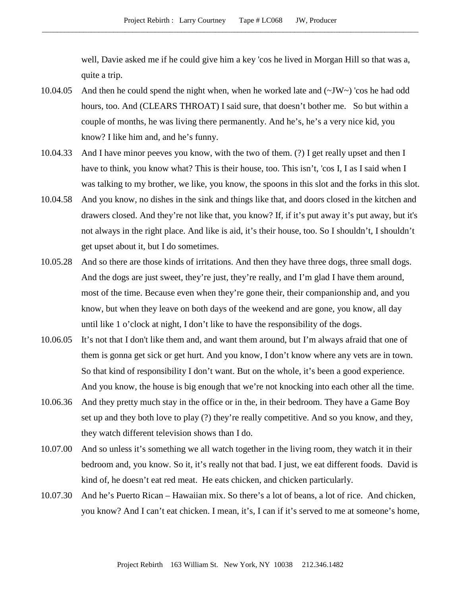well, Davie asked me if he could give him a key 'cos he lived in Morgan Hill so that was a, quite a trip.

- 10.04.05 And then he could spend the night when, when he worked late and  $(\sim JW \sim)$  'cos he had odd hours, too. And (CLEARS THROAT) I said sure, that doesn't bother me. So but within a couple of months, he was living there permanently. And he's, he's a very nice kid, you know? I like him and, and he's funny.
- 10.04.33 And I have minor peeves you know, with the two of them. (?) I get really upset and then I have to think, you know what? This is their house, too. This isn't, 'cos I, I as I said when I was talking to my brother, we like, you know, the spoons in this slot and the forks in this slot.
- 10.04.58 And you know, no dishes in the sink and things like that, and doors closed in the kitchen and drawers closed. And they're not like that, you know? If, if it's put away it's put away, but it's not always in the right place. And like is aid, it's their house, too. So I shouldn't, I shouldn't get upset about it, but I do sometimes.
- 10.05.28 And so there are those kinds of irritations. And then they have three dogs, three small dogs. And the dogs are just sweet, they're just, they're really, and I'm glad I have them around, most of the time. Because even when they're gone their, their companionship and, and you know, but when they leave on both days of the weekend and are gone, you know, all day until like 1 o'clock at night, I don't like to have the responsibility of the dogs.
- 10.06.05 It's not that I don't like them and, and want them around, but I'm always afraid that one of them is gonna get sick or get hurt. And you know, I don't know where any vets are in town. So that kind of responsibility I don't want. But on the whole, it's been a good experience. And you know, the house is big enough that we're not knocking into each other all the time.
- 10.06.36 And they pretty much stay in the office or in the, in their bedroom. They have a Game Boy set up and they both love to play (?) they're really competitive. And so you know, and they, they watch different television shows than I do.
- 10.07.00 And so unless it's something we all watch together in the living room, they watch it in their bedroom and, you know. So it, it's really not that bad. I just, we eat different foods. David is kind of, he doesn't eat red meat. He eats chicken, and chicken particularly.
- 10.07.30 And he's Puerto Rican Hawaiian mix. So there's a lot of beans, a lot of rice. And chicken, you know? And I can't eat chicken. I mean, it's, I can if it's served to me at someone's home,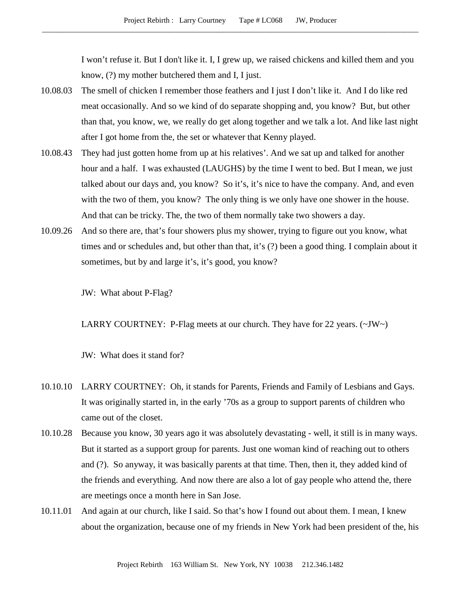I won't refuse it. But I don't like it. I, I grew up, we raised chickens and killed them and you know, (?) my mother butchered them and I, I just.

- 10.08.03 The smell of chicken I remember those feathers and I just I don't like it. And I do like red meat occasionally. And so we kind of do separate shopping and, you know? But, but other than that, you know, we, we really do get along together and we talk a lot. And like last night after I got home from the, the set or whatever that Kenny played.
- 10.08.43 They had just gotten home from up at his relatives'. And we sat up and talked for another hour and a half. I was exhausted (LAUGHS) by the time I went to bed. But I mean, we just talked about our days and, you know? So it's, it's nice to have the company. And, and even with the two of them, you know? The only thing is we only have one shower in the house. And that can be tricky. The, the two of them normally take two showers a day.
- 10.09.26 And so there are, that's four showers plus my shower, trying to figure out you know, what times and or schedules and, but other than that, it's (?) been a good thing. I complain about it sometimes, but by and large it's, it's good, you know?

JW: What about P-Flag?

LARRY COURTNEY: P-Flag meets at our church. They have for 22 years.  $(\sim JW \sim)$ 

JW: What does it stand for?

- 10.10.10 LARRY COURTNEY: Oh, it stands for Parents, Friends and Family of Lesbians and Gays. It was originally started in, in the early '70s as a group to support parents of children who came out of the closet.
- 10.10.28 Because you know, 30 years ago it was absolutely devastating well, it still is in many ways. But it started as a support group for parents. Just one woman kind of reaching out to others and (?). So anyway, it was basically parents at that time. Then, then it, they added kind of the friends and everything. And now there are also a lot of gay people who attend the, there are meetings once a month here in San Jose.
- 10.11.01 And again at our church, like I said. So that's how I found out about them. I mean, I knew about the organization, because one of my friends in New York had been president of the, his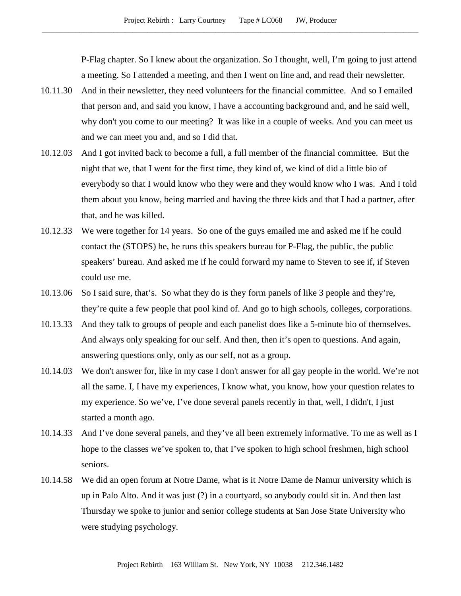P-Flag chapter. So I knew about the organization. So I thought, well, I'm going to just attend a meeting. So I attended a meeting, and then I went on line and, and read their newsletter.

- 10.11.30 And in their newsletter, they need volunteers for the financial committee. And so I emailed that person and, and said you know, I have a accounting background and, and he said well, why don't you come to our meeting? It was like in a couple of weeks. And you can meet us and we can meet you and, and so I did that.
- 10.12.03 And I got invited back to become a full, a full member of the financial committee. But the night that we, that I went for the first time, they kind of, we kind of did a little bio of everybody so that I would know who they were and they would know who I was. And I told them about you know, being married and having the three kids and that I had a partner, after that, and he was killed.
- 10.12.33 We were together for 14 years. So one of the guys emailed me and asked me if he could contact the (STOPS) he, he runs this speakers bureau for P-Flag, the public, the public speakers' bureau. And asked me if he could forward my name to Steven to see if, if Steven could use me.
- 10.13.06 So I said sure, that's. So what they do is they form panels of like 3 people and they're, they're quite a few people that pool kind of. And go to high schools, colleges, corporations.
- 10.13.33 And they talk to groups of people and each panelist does like a 5-minute bio of themselves. And always only speaking for our self. And then, then it's open to questions. And again, answering questions only, only as our self, not as a group.
- 10.14.03 We don't answer for, like in my case I don't answer for all gay people in the world. We're not all the same. I, I have my experiences, I know what, you know, how your question relates to my experience. So we've, I've done several panels recently in that, well, I didn't, I just started a month ago.
- 10.14.33 And I've done several panels, and they've all been extremely informative. To me as well as I hope to the classes we've spoken to, that I've spoken to high school freshmen, high school seniors.
- 10.14.58 We did an open forum at Notre Dame, what is it Notre Dame de Namur university which is up in Palo Alto. And it was just (?) in a courtyard, so anybody could sit in. And then last Thursday we spoke to junior and senior college students at San Jose State University who were studying psychology.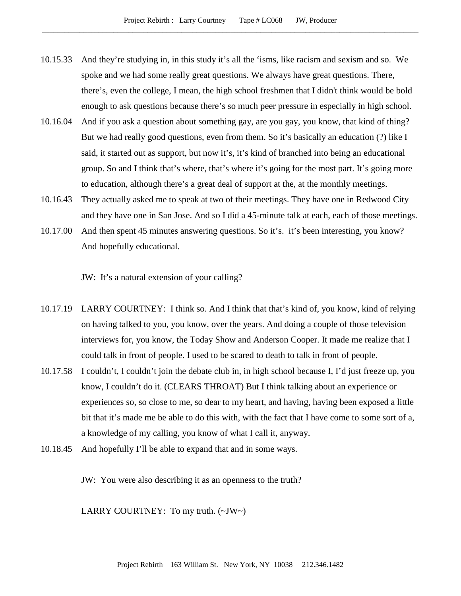- 10.15.33 And they're studying in, in this study it's all the 'isms, like racism and sexism and so. We spoke and we had some really great questions. We always have great questions. There, there's, even the college, I mean, the high school freshmen that I didn't think would be bold enough to ask questions because there's so much peer pressure in especially in high school.
- 10.16.04 And if you ask a question about something gay, are you gay, you know, that kind of thing? But we had really good questions, even from them. So it's basically an education (?) like I said, it started out as support, but now it's, it's kind of branched into being an educational group. So and I think that's where, that's where it's going for the most part. It's going more to education, although there's a great deal of support at the, at the monthly meetings.
- 10.16.43 They actually asked me to speak at two of their meetings. They have one in Redwood City and they have one in San Jose. And so I did a 45-minute talk at each, each of those meetings.
- 10.17.00 And then spent 45 minutes answering questions. So it's. it's been interesting, you know? And hopefully educational.

JW: It's a natural extension of your calling?

- 10.17.19 LARRY COURTNEY: I think so. And I think that that's kind of, you know, kind of relying on having talked to you, you know, over the years. And doing a couple of those television interviews for, you know, the Today Show and Anderson Cooper. It made me realize that I could talk in front of people. I used to be scared to death to talk in front of people.
- 10.17.58 I couldn't, I couldn't join the debate club in, in high school because I, I'd just freeze up, you know, I couldn't do it. (CLEARS THROAT) But I think talking about an experience or experiences so, so close to me, so dear to my heart, and having, having been exposed a little bit that it's made me be able to do this with, with the fact that I have come to some sort of a, a knowledge of my calling, you know of what I call it, anyway.
- 10.18.45 And hopefully I'll be able to expand that and in some ways.

JW: You were also describing it as an openness to the truth?

LARRY COURTNEY: To my truth.  $(\sim JW \sim)$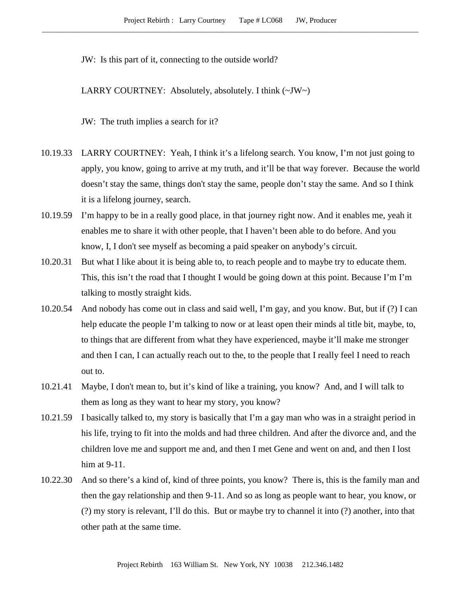JW: Is this part of it, connecting to the outside world?

LARRY COURTNEY: Absolutely, absolutely. I think (~JW~)

JW: The truth implies a search for it?

- 10.19.33 LARRY COURTNEY: Yeah, I think it's a lifelong search. You know, I'm not just going to apply, you know, going to arrive at my truth, and it'll be that way forever. Because the world doesn't stay the same, things don't stay the same, people don't stay the same. And so I think it is a lifelong journey, search.
- 10.19.59 I'm happy to be in a really good place, in that journey right now. And it enables me, yeah it enables me to share it with other people, that I haven't been able to do before. And you know, I, I don't see myself as becoming a paid speaker on anybody's circuit.
- 10.20.31 But what I like about it is being able to, to reach people and to maybe try to educate them. This, this isn't the road that I thought I would be going down at this point. Because I'm I'm talking to mostly straight kids.
- 10.20.54 And nobody has come out in class and said well, I'm gay, and you know. But, but if (?) I can help educate the people I'm talking to now or at least open their minds al title bit, maybe, to, to things that are different from what they have experienced, maybe it'll make me stronger and then I can, I can actually reach out to the, to the people that I really feel I need to reach out to.
- 10.21.41 Maybe, I don't mean to, but it's kind of like a training, you know? And, and I will talk to them as long as they want to hear my story, you know?
- 10.21.59 I basically talked to, my story is basically that I'm a gay man who was in a straight period in his life, trying to fit into the molds and had three children. And after the divorce and, and the children love me and support me and, and then I met Gene and went on and, and then I lost him at 9-11.
- 10.22.30 And so there's a kind of, kind of three points, you know? There is, this is the family man and then the gay relationship and then 9-11. And so as long as people want to hear, you know, or (?) my story is relevant, I'll do this. But or maybe try to channel it into (?) another, into that other path at the same time.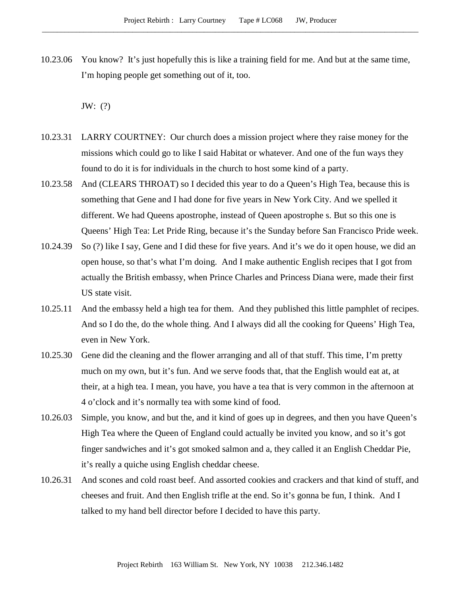10.23.06 You know? It's just hopefully this is like a training field for me. And but at the same time, I'm hoping people get something out of it, too.

JW: (?)

- 10.23.31 LARRY COURTNEY: Our church does a mission project where they raise money for the missions which could go to like I said Habitat or whatever. And one of the fun ways they found to do it is for individuals in the church to host some kind of a party.
- 10.23.58 And (CLEARS THROAT) so I decided this year to do a Queen's High Tea, because this is something that Gene and I had done for five years in New York City. And we spelled it different. We had Queens apostrophe, instead of Queen apostrophe s. But so this one is Queens' High Tea: Let Pride Ring, because it's the Sunday before San Francisco Pride week.
- 10.24.39 So (?) like I say, Gene and I did these for five years. And it's we do it open house, we did an open house, so that's what I'm doing. And I make authentic English recipes that I got from actually the British embassy, when Prince Charles and Princess Diana were, made their first US state visit.
- 10.25.11 And the embassy held a high tea for them. And they published this little pamphlet of recipes. And so I do the, do the whole thing. And I always did all the cooking for Queens' High Tea, even in New York.
- 10.25.30 Gene did the cleaning and the flower arranging and all of that stuff. This time, I'm pretty much on my own, but it's fun. And we serve foods that, that the English would eat at, at their, at a high tea. I mean, you have, you have a tea that is very common in the afternoon at 4 o'clock and it's normally tea with some kind of food.
- 10.26.03 Simple, you know, and but the, and it kind of goes up in degrees, and then you have Queen's High Tea where the Queen of England could actually be invited you know, and so it's got finger sandwiches and it's got smoked salmon and a, they called it an English Cheddar Pie, it's really a quiche using English cheddar cheese.
- 10.26.31 And scones and cold roast beef. And assorted cookies and crackers and that kind of stuff, and cheeses and fruit. And then English trifle at the end. So it's gonna be fun, I think. And I talked to my hand bell director before I decided to have this party.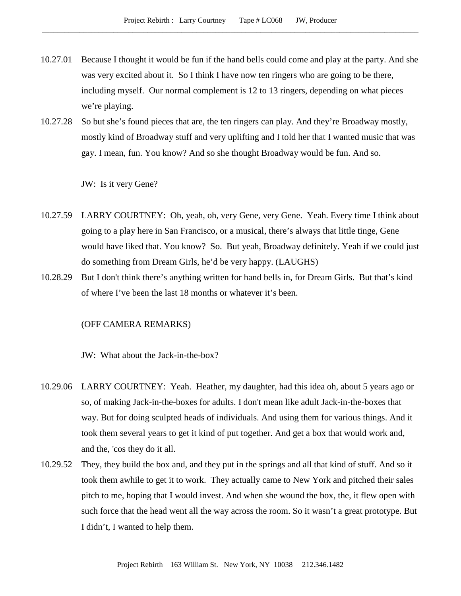- 10.27.01 Because I thought it would be fun if the hand bells could come and play at the party. And she was very excited about it. So I think I have now ten ringers who are going to be there, including myself. Our normal complement is 12 to 13 ringers, depending on what pieces we're playing.
- 10.27.28 So but she's found pieces that are, the ten ringers can play. And they're Broadway mostly, mostly kind of Broadway stuff and very uplifting and I told her that I wanted music that was gay. I mean, fun. You know? And so she thought Broadway would be fun. And so.

JW: Is it very Gene?

- 10.27.59 LARRY COURTNEY: Oh, yeah, oh, very Gene, very Gene. Yeah. Every time I think about going to a play here in San Francisco, or a musical, there's always that little tinge, Gene would have liked that. You know? So. But yeah, Broadway definitely. Yeah if we could just do something from Dream Girls, he'd be very happy. (LAUGHS)
- 10.28.29 But I don't think there's anything written for hand bells in, for Dream Girls. But that's kind of where I've been the last 18 months or whatever it's been.

### (OFF CAMERA REMARKS)

JW: What about the Jack-in-the-box?

- 10.29.06 LARRY COURTNEY: Yeah. Heather, my daughter, had this idea oh, about 5 years ago or so, of making Jack-in-the-boxes for adults. I don't mean like adult Jack-in-the-boxes that way. But for doing sculpted heads of individuals. And using them for various things. And it took them several years to get it kind of put together. And get a box that would work and, and the, 'cos they do it all.
- 10.29.52 They, they build the box and, and they put in the springs and all that kind of stuff. And so it took them awhile to get it to work. They actually came to New York and pitched their sales pitch to me, hoping that I would invest. And when she wound the box, the, it flew open with such force that the head went all the way across the room. So it wasn't a great prototype. But I didn't, I wanted to help them.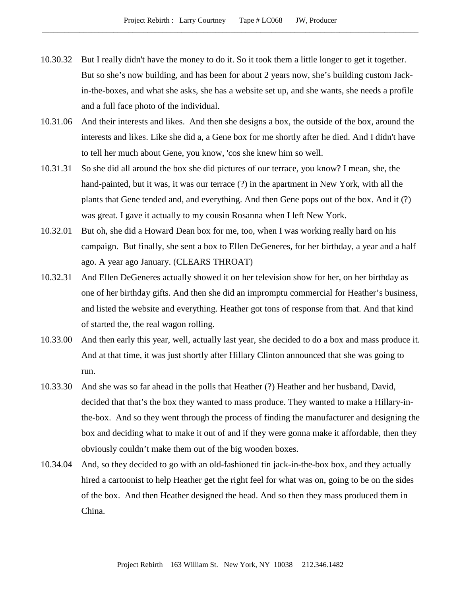- 10.30.32 But I really didn't have the money to do it. So it took them a little longer to get it together. But so she's now building, and has been for about 2 years now, she's building custom Jackin-the-boxes, and what she asks, she has a website set up, and she wants, she needs a profile and a full face photo of the individual.
- 10.31.06 And their interests and likes. And then she designs a box, the outside of the box, around the interests and likes. Like she did a, a Gene box for me shortly after he died. And I didn't have to tell her much about Gene, you know, 'cos she knew him so well.
- 10.31.31 So she did all around the box she did pictures of our terrace, you know? I mean, she, the hand-painted, but it was, it was our terrace (?) in the apartment in New York, with all the plants that Gene tended and, and everything. And then Gene pops out of the box. And it (?) was great. I gave it actually to my cousin Rosanna when I left New York.
- 10.32.01 But oh, she did a Howard Dean box for me, too, when I was working really hard on his campaign. But finally, she sent a box to Ellen DeGeneres, for her birthday, a year and a half ago. A year ago January. (CLEARS THROAT)
- 10.32.31 And Ellen DeGeneres actually showed it on her television show for her, on her birthday as one of her birthday gifts. And then she did an impromptu commercial for Heather's business, and listed the website and everything. Heather got tons of response from that. And that kind of started the, the real wagon rolling.
- 10.33.00 And then early this year, well, actually last year, she decided to do a box and mass produce it. And at that time, it was just shortly after Hillary Clinton announced that she was going to run.
- 10.33.30 And she was so far ahead in the polls that Heather (?) Heather and her husband, David, decided that that's the box they wanted to mass produce. They wanted to make a Hillary-inthe-box. And so they went through the process of finding the manufacturer and designing the box and deciding what to make it out of and if they were gonna make it affordable, then they obviously couldn't make them out of the big wooden boxes.
- 10.34.04 And, so they decided to go with an old-fashioned tin jack-in-the-box box, and they actually hired a cartoonist to help Heather get the right feel for what was on, going to be on the sides of the box. And then Heather designed the head. And so then they mass produced them in China.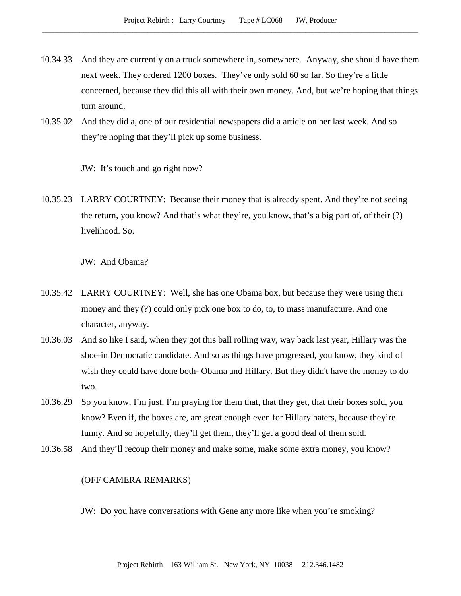- 10.34.33 And they are currently on a truck somewhere in, somewhere. Anyway, she should have them next week. They ordered 1200 boxes. They've only sold 60 so far. So they're a little concerned, because they did this all with their own money. And, but we're hoping that things turn around.
- 10.35.02 And they did a, one of our residential newspapers did a article on her last week. And so they're hoping that they'll pick up some business.

JW: It's touch and go right now?

10.35.23 LARRY COURTNEY: Because their money that is already spent. And they're not seeing the return, you know? And that's what they're, you know, that's a big part of, of their (?) livelihood. So.

JW: And Obama?

- 10.35.42 LARRY COURTNEY: Well, she has one Obama box, but because they were using their money and they (?) could only pick one box to do, to, to mass manufacture. And one character, anyway.
- 10.36.03 And so like I said, when they got this ball rolling way, way back last year, Hillary was the shoe-in Democratic candidate. And so as things have progressed, you know, they kind of wish they could have done both- Obama and Hillary. But they didn't have the money to do two.
- 10.36.29 So you know, I'm just, I'm praying for them that, that they get, that their boxes sold, you know? Even if, the boxes are, are great enough even for Hillary haters, because they're funny. And so hopefully, they'll get them, they'll get a good deal of them sold.
- 10.36.58 And they'll recoup their money and make some, make some extra money, you know?

## (OFF CAMERA REMARKS)

JW: Do you have conversations with Gene any more like when you're smoking?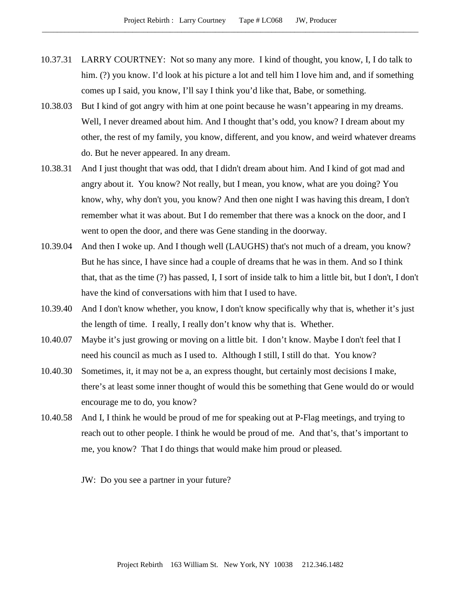- 10.37.31 LARRY COURTNEY: Not so many any more. I kind of thought, you know, I, I do talk to him. (?) you know. I'd look at his picture a lot and tell him I love him and, and if something comes up I said, you know, I'll say I think you'd like that, Babe, or something.
- 10.38.03 But I kind of got angry with him at one point because he wasn't appearing in my dreams. Well, I never dreamed about him. And I thought that's odd, you know? I dream about my other, the rest of my family, you know, different, and you know, and weird whatever dreams do. But he never appeared. In any dream.
- 10.38.31 And I just thought that was odd, that I didn't dream about him. And I kind of got mad and angry about it. You know? Not really, but I mean, you know, what are you doing? You know, why, why don't you, you know? And then one night I was having this dream, I don't remember what it was about. But I do remember that there was a knock on the door, and I went to open the door, and there was Gene standing in the doorway.
- 10.39.04 And then I woke up. And I though well (LAUGHS) that's not much of a dream, you know? But he has since, I have since had a couple of dreams that he was in them. And so I think that, that as the time (?) has passed, I, I sort of inside talk to him a little bit, but I don't, I don't have the kind of conversations with him that I used to have.
- 10.39.40 And I don't know whether, you know, I don't know specifically why that is, whether it's just the length of time. I really, I really don't know why that is. Whether.
- 10.40.07 Maybe it's just growing or moving on a little bit. I don't know. Maybe I don't feel that I need his council as much as I used to. Although I still, I still do that. You know?
- 10.40.30 Sometimes, it, it may not be a, an express thought, but certainly most decisions I make, there's at least some inner thought of would this be something that Gene would do or would encourage me to do, you know?
- 10.40.58 And I, I think he would be proud of me for speaking out at P-Flag meetings, and trying to reach out to other people. I think he would be proud of me. And that's, that's important to me, you know? That I do things that would make him proud or pleased.

JW: Do you see a partner in your future?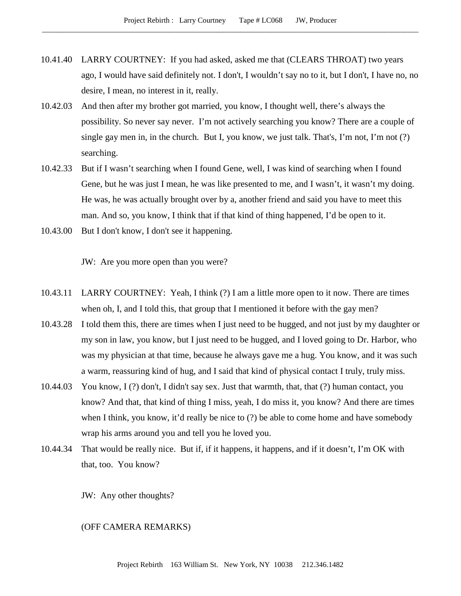- 10.41.40 LARRY COURTNEY: If you had asked, asked me that (CLEARS THROAT) two years ago, I would have said definitely not. I don't, I wouldn't say no to it, but I don't, I have no, no desire, I mean, no interest in it, really.
- 10.42.03 And then after my brother got married, you know, I thought well, there's always the possibility. So never say never. I'm not actively searching you know? There are a couple of single gay men in, in the church. But I, you know, we just talk. That's, I'm not, I'm not (?) searching.
- 10.42.33 But if I wasn't searching when I found Gene, well, I was kind of searching when I found Gene, but he was just I mean, he was like presented to me, and I wasn't, it wasn't my doing. He was, he was actually brought over by a, another friend and said you have to meet this man. And so, you know, I think that if that kind of thing happened, I'd be open to it.
- 10.43.00 But I don't know, I don't see it happening.

JW: Are you more open than you were?

- 10.43.11 LARRY COURTNEY: Yeah, I think (?) I am a little more open to it now. There are times when oh, I, and I told this, that group that I mentioned it before with the gay men?
- 10.43.28 I told them this, there are times when I just need to be hugged, and not just by my daughter or my son in law, you know, but I just need to be hugged, and I loved going to Dr. Harbor, who was my physician at that time, because he always gave me a hug. You know, and it was such a warm, reassuring kind of hug, and I said that kind of physical contact I truly, truly miss.
- 10.44.03 You know, I (?) don't, I didn't say sex. Just that warmth, that, that (?) human contact, you know? And that, that kind of thing I miss, yeah, I do miss it, you know? And there are times when I think, you know, it'd really be nice to (?) be able to come home and have somebody wrap his arms around you and tell you he loved you.
- 10.44.34 That would be really nice. But if, if it happens, it happens, and if it doesn't, I'm OK with that, too. You know?

JW: Any other thoughts?

### (OFF CAMERA REMARKS)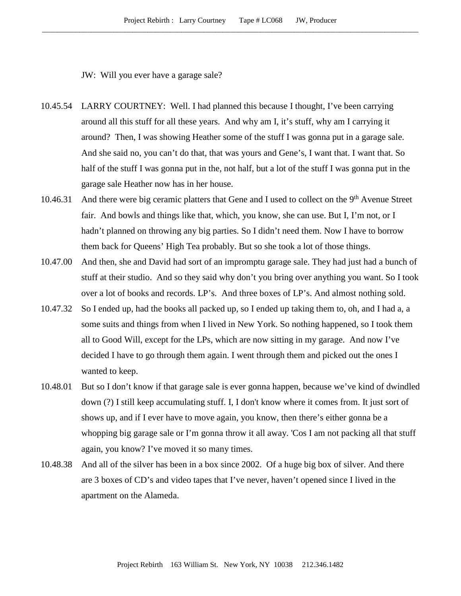JW: Will you ever have a garage sale?

- 10.45.54 LARRY COURTNEY: Well. I had planned this because I thought, I've been carrying around all this stuff for all these years. And why am I, it's stuff, why am I carrying it around? Then, I was showing Heather some of the stuff I was gonna put in a garage sale. And she said no, you can't do that, that was yours and Gene's, I want that. I want that. So half of the stuff I was gonna put in the, not half, but a lot of the stuff I was gonna put in the garage sale Heather now has in her house.
- 10.46.31 And there were big ceramic platters that Gene and I used to collect on the 9<sup>th</sup> Avenue Street fair. And bowls and things like that, which, you know, she can use. But I, I'm not, or I hadn't planned on throwing any big parties. So I didn't need them. Now I have to borrow them back for Queens' High Tea probably. But so she took a lot of those things.
- 10.47.00 And then, she and David had sort of an impromptu garage sale. They had just had a bunch of stuff at their studio. And so they said why don't you bring over anything you want. So I took over a lot of books and records. LP's. And three boxes of LP's. And almost nothing sold.
- 10.47.32 So I ended up, had the books all packed up, so I ended up taking them to, oh, and I had a, a some suits and things from when I lived in New York. So nothing happened, so I took them all to Good Will, except for the LPs, which are now sitting in my garage. And now I've decided I have to go through them again. I went through them and picked out the ones I wanted to keep.
- 10.48.01 But so I don't know if that garage sale is ever gonna happen, because we've kind of dwindled down (?) I still keep accumulating stuff. I, I don't know where it comes from. It just sort of shows up, and if I ever have to move again, you know, then there's either gonna be a whopping big garage sale or I'm gonna throw it all away. 'Cos I am not packing all that stuff again, you know? I've moved it so many times.
- 10.48.38 And all of the silver has been in a box since 2002. Of a huge big box of silver. And there are 3 boxes of CD's and video tapes that I've never, haven't opened since I lived in the apartment on the Alameda.